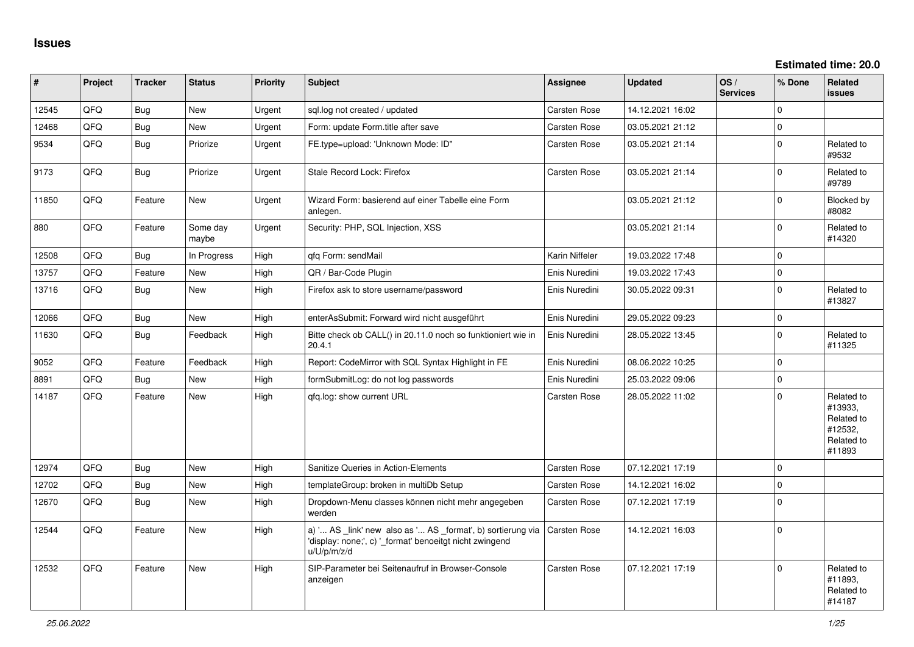**Estimated time: 20.0**

| #     | Project | <b>Tracker</b> | <b>Status</b>     | <b>Priority</b> | <b>Subject</b>                                                                                                                        | <b>Assignee</b>     | <b>Updated</b>   | OS/<br><b>Services</b> | % Done              | Related<br><b>issues</b>                                               |
|-------|---------|----------------|-------------------|-----------------|---------------------------------------------------------------------------------------------------------------------------------------|---------------------|------------------|------------------------|---------------------|------------------------------------------------------------------------|
| 12545 | QFQ     | <b>Bug</b>     | New               | Urgent          | sql.log not created / updated                                                                                                         | Carsten Rose        | 14.12.2021 16:02 |                        | $\Omega$            |                                                                        |
| 12468 | QFQ     | <b>Bug</b>     | <b>New</b>        | Urgent          | Form: update Form.title after save                                                                                                    | <b>Carsten Rose</b> | 03.05.2021 21:12 |                        | $\mathsf 0$         |                                                                        |
| 9534  | QFQ     | Bug            | Priorize          | Urgent          | FE.type=upload: 'Unknown Mode: ID"                                                                                                    | <b>Carsten Rose</b> | 03.05.2021 21:14 |                        | $\mathbf 0$         | Related to<br>#9532                                                    |
| 9173  | QFQ     | Bug            | Priorize          | Urgent          | Stale Record Lock: Firefox                                                                                                            | Carsten Rose        | 03.05.2021 21:14 |                        | $\mathbf 0$         | Related to<br>#9789                                                    |
| 11850 | QFQ     | Feature        | <b>New</b>        | Urgent          | Wizard Form: basierend auf einer Tabelle eine Form<br>anlegen.                                                                        |                     | 03.05.2021 21:12 |                        | $\mathbf 0$         | Blocked by<br>#8082                                                    |
| 880   | QFQ     | Feature        | Some day<br>maybe | Urgent          | Security: PHP, SQL Injection, XSS                                                                                                     |                     | 03.05.2021 21:14 |                        | $\mathbf 0$         | Related to<br>#14320                                                   |
| 12508 | QFQ     | Bug            | In Progress       | High            | qfq Form: sendMail                                                                                                                    | Karin Niffeler      | 19.03.2022 17:48 |                        | $\mathsf 0$         |                                                                        |
| 13757 | QFQ     | Feature        | <b>New</b>        | High            | QR / Bar-Code Plugin                                                                                                                  | Enis Nuredini       | 19.03.2022 17:43 |                        | $\pmb{0}$           |                                                                        |
| 13716 | QFQ     | <b>Bug</b>     | <b>New</b>        | High            | Firefox ask to store username/password                                                                                                | Enis Nuredini       | 30.05.2022 09:31 |                        | $\mathbf 0$         | Related to<br>#13827                                                   |
| 12066 | QFQ     | <b>Bug</b>     | New               | High            | enterAsSubmit: Forward wird nicht ausgeführt                                                                                          | Enis Nuredini       | 29.05.2022 09:23 |                        | $\mathbf{0}$        |                                                                        |
| 11630 | QFQ     | <b>Bug</b>     | Feedback          | High            | Bitte check ob CALL() in 20.11.0 noch so funktioniert wie in<br>20.4.1                                                                | Enis Nuredini       | 28.05.2022 13:45 |                        | $\mathsf 0$         | Related to<br>#11325                                                   |
| 9052  | QFQ     | Feature        | Feedback          | High            | Report: CodeMirror with SQL Syntax Highlight in FE                                                                                    | Enis Nuredini       | 08.06.2022 10:25 |                        | $\mathbf{0}$        |                                                                        |
| 8891  | QFQ     | Bug            | <b>New</b>        | High            | formSubmitLog: do not log passwords                                                                                                   | Enis Nuredini       | 25.03.2022 09:06 |                        | $\mathsf 0$         |                                                                        |
| 14187 | QFQ     | Feature        | New               | High            | gfg.log: show current URL                                                                                                             | <b>Carsten Rose</b> | 28.05.2022 11:02 |                        | $\Omega$            | Related to<br>#13933,<br>Related to<br>#12532,<br>Related to<br>#11893 |
| 12974 | QFQ     | Bug            | <b>New</b>        | High            | <b>Sanitize Queries in Action-Elements</b>                                                                                            | Carsten Rose        | 07.12.2021 17:19 |                        | $\mathbf 0$         |                                                                        |
| 12702 | QFQ     | Bug            | <b>New</b>        | High            | templateGroup: broken in multiDb Setup                                                                                                | Carsten Rose        | 14.12.2021 16:02 |                        | $\mathsf{O}\xspace$ |                                                                        |
| 12670 | QFQ     | <b>Bug</b>     | <b>New</b>        | High            | Dropdown-Menu classes können nicht mehr angegeben<br>werden                                                                           | <b>Carsten Rose</b> | 07.12.2021 17:19 |                        | $\Omega$            |                                                                        |
| 12544 | QFQ     | Feature        | New               | High            | a) ' AS _link' new also as ' AS _format', b) sortierung via<br>'display: none;', c) '_format' benoeitgt nicht zwingend<br>u/U/p/m/z/d | <b>Carsten Rose</b> | 14.12.2021 16:03 |                        | $\mathbf 0$         |                                                                        |
| 12532 | QFQ     | Feature        | <b>New</b>        | High            | SIP-Parameter bei Seitenaufruf in Browser-Console<br>anzeigen                                                                         | Carsten Rose        | 07.12.2021 17:19 |                        | $\mathbf 0$         | Related to<br>#11893,<br>Related to<br>#14187                          |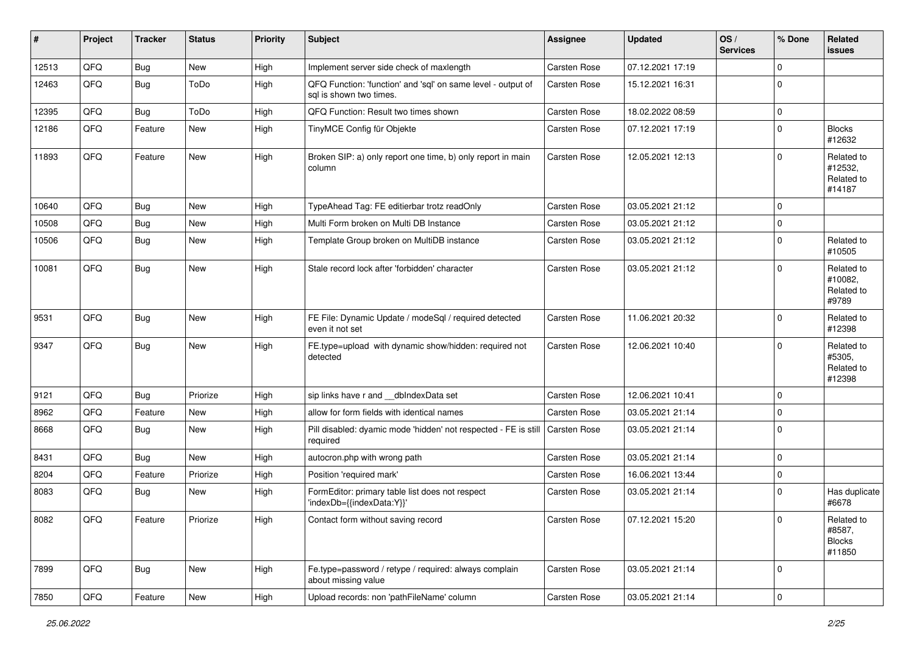| #     | Project | <b>Tracker</b> | <b>Status</b> | <b>Priority</b> | <b>Subject</b>                                                                          | <b>Assignee</b>     | <b>Updated</b>   | OS/<br><b>Services</b> | % Done              | Related<br>issues                               |
|-------|---------|----------------|---------------|-----------------|-----------------------------------------------------------------------------------------|---------------------|------------------|------------------------|---------------------|-------------------------------------------------|
| 12513 | QFQ     | <b>Bug</b>     | <b>New</b>    | High            | Implement server side check of maxlength                                                | <b>Carsten Rose</b> | 07.12.2021 17:19 |                        | $\mathbf 0$         |                                                 |
| 12463 | QFQ     | <b>Bug</b>     | ToDo          | High            | QFQ Function: 'function' and 'sql' on same level - output of<br>sql is shown two times. | <b>Carsten Rose</b> | 15.12.2021 16:31 |                        | $\mathbf 0$         |                                                 |
| 12395 | QFQ     | Bug            | ToDo          | High            | QFQ Function: Result two times shown                                                    | <b>Carsten Rose</b> | 18.02.2022 08:59 |                        | $\mathbf 0$         |                                                 |
| 12186 | QFQ     | Feature        | New           | High            | TinyMCE Config für Objekte                                                              | Carsten Rose        | 07.12.2021 17:19 |                        | $\pmb{0}$           | <b>Blocks</b><br>#12632                         |
| 11893 | QFQ     | Feature        | New           | High            | Broken SIP: a) only report one time, b) only report in main<br>column                   | <b>Carsten Rose</b> | 12.05.2021 12:13 |                        | $\mathbf 0$         | Related to<br>#12532,<br>Related to<br>#14187   |
| 10640 | QFQ     | <b>Bug</b>     | <b>New</b>    | High            | TypeAhead Tag: FE editierbar trotz readOnly                                             | <b>Carsten Rose</b> | 03.05.2021 21:12 |                        | $\mathbf 0$         |                                                 |
| 10508 | QFQ     | <b>Bug</b>     | New           | High            | Multi Form broken on Multi DB Instance                                                  | Carsten Rose        | 03.05.2021 21:12 |                        | $\mathbf 0$         |                                                 |
| 10506 | QFQ     | Bug            | New           | High            | Template Group broken on MultiDB instance                                               | Carsten Rose        | 03.05.2021 21:12 |                        | $\mathbf 0$         | Related to<br>#10505                            |
| 10081 | QFQ     | <b>Bug</b>     | New           | High            | Stale record lock after 'forbidden' character                                           | <b>Carsten Rose</b> | 03.05.2021 21:12 |                        | $\mathbf 0$         | Related to<br>#10082,<br>Related to<br>#9789    |
| 9531  | QFQ     | Bug            | <b>New</b>    | High            | FE File: Dynamic Update / modeSql / required detected<br>even it not set                | Carsten Rose        | 11.06.2021 20:32 |                        | 0                   | Related to<br>#12398                            |
| 9347  | QFQ     | Bug            | New           | High            | FE.type=upload with dynamic show/hidden: required not<br>detected                       | <b>Carsten Rose</b> | 12.06.2021 10:40 |                        | $\mathbf 0$         | Related to<br>#5305,<br>Related to<br>#12398    |
| 9121  | QFQ     | Bug            | Priorize      | High            | sip links have r and __dbIndexData set                                                  | <b>Carsten Rose</b> | 12.06.2021 10:41 |                        | $\Omega$            |                                                 |
| 8962  | QFQ     | Feature        | New           | High            | allow for form fields with identical names                                              | <b>Carsten Rose</b> | 03.05.2021 21:14 |                        | $\pmb{0}$           |                                                 |
| 8668  | QFQ     | <b>Bug</b>     | New           | High            | Pill disabled: dyamic mode 'hidden' not respected - FE is still<br>required             | Carsten Rose        | 03.05.2021 21:14 |                        | $\mathbf 0$         |                                                 |
| 8431  | QFQ     | Bug            | New           | High            | autocron.php with wrong path                                                            | <b>Carsten Rose</b> | 03.05.2021 21:14 |                        | $\mathbf 0$         |                                                 |
| 8204  | QFQ     | Feature        | Priorize      | High            | Position 'required mark'                                                                | Carsten Rose        | 16.06.2021 13:44 |                        | $\pmb{0}$           |                                                 |
| 8083  | QFQ     | <b>Bug</b>     | New           | High            | FormEditor: primary table list does not respect<br>'indexDb={{indexData:Y}}'            | <b>Carsten Rose</b> | 03.05.2021 21:14 |                        | $\mathbf 0$         | Has duplicate<br>#6678                          |
| 8082  | QFQ     | Feature        | Priorize      | High            | Contact form without saving record                                                      | Carsten Rose        | 07.12.2021 15:20 |                        | U                   | Related to<br>#8587,<br><b>Blocks</b><br>#11850 |
| 7899  | QFQ     | <b>Bug</b>     | New           | High            | Fe.type=password / retype / required: always complain<br>about missing value            | Carsten Rose        | 03.05.2021 21:14 |                        | $\mathbf 0$         |                                                 |
| 7850  | QFQ     | Feature        | New           | High            | Upload records: non 'pathFileName' column                                               | Carsten Rose        | 03.05.2021 21:14 |                        | $\mathsf{O}\xspace$ |                                                 |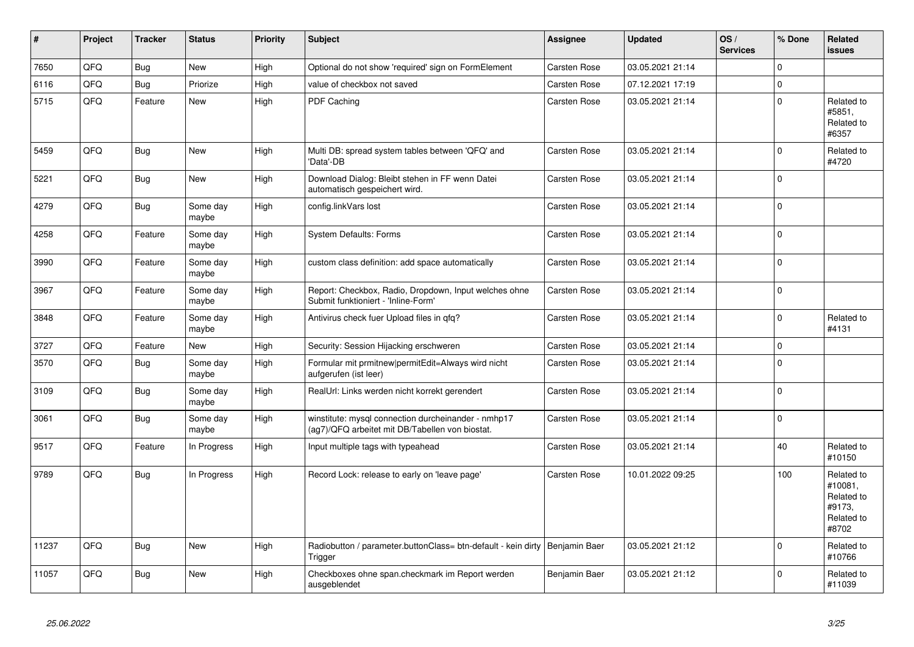| $\vert$ # | Project | <b>Tracker</b> | <b>Status</b>     | <b>Priority</b> | <b>Subject</b>                                                                                         | Assignee            | <b>Updated</b>   | OS/<br><b>Services</b> | % Done      | Related<br><b>issues</b>                                             |
|-----------|---------|----------------|-------------------|-----------------|--------------------------------------------------------------------------------------------------------|---------------------|------------------|------------------------|-------------|----------------------------------------------------------------------|
| 7650      | QFQ     | Bug            | <b>New</b>        | High            | Optional do not show 'required' sign on FormElement                                                    | Carsten Rose        | 03.05.2021 21:14 |                        | $\Omega$    |                                                                      |
| 6116      | QFQ     | <b>Bug</b>     | Priorize          | High            | value of checkbox not saved                                                                            | Carsten Rose        | 07.12.2021 17:19 |                        | $\Omega$    |                                                                      |
| 5715      | QFQ     | Feature        | <b>New</b>        | High            | PDF Caching                                                                                            | Carsten Rose        | 03.05.2021 21:14 |                        | $\Omega$    | Related to<br>#5851,<br>Related to<br>#6357                          |
| 5459      | QFQ     | Bug            | New               | High            | Multi DB: spread system tables between 'QFQ' and<br>'Data'-DB                                          | <b>Carsten Rose</b> | 03.05.2021 21:14 |                        | $\Omega$    | Related to<br>#4720                                                  |
| 5221      | QFQ     | Bug            | New               | High            | Download Dialog: Bleibt stehen in FF wenn Datei<br>automatisch gespeichert wird.                       | Carsten Rose        | 03.05.2021 21:14 |                        | $\Omega$    |                                                                      |
| 4279      | QFQ     | <b>Bug</b>     | Some day<br>maybe | High            | config.linkVars lost                                                                                   | Carsten Rose        | 03.05.2021 21:14 |                        | $\Omega$    |                                                                      |
| 4258      | QFQ     | Feature        | Some day<br>maybe | High            | <b>System Defaults: Forms</b>                                                                          | Carsten Rose        | 03.05.2021 21:14 |                        | $\Omega$    |                                                                      |
| 3990      | QFQ     | Feature        | Some day<br>maybe | High            | custom class definition: add space automatically                                                       | <b>Carsten Rose</b> | 03.05.2021 21:14 |                        | $\Omega$    |                                                                      |
| 3967      | QFQ     | Feature        | Some day<br>maybe | High            | Report: Checkbox, Radio, Dropdown, Input welches ohne<br>Submit funktioniert - 'Inline-Form'           | <b>Carsten Rose</b> | 03.05.2021 21:14 |                        | $\Omega$    |                                                                      |
| 3848      | QFQ     | Feature        | Some day<br>maybe | High            | Antivirus check fuer Upload files in qfq?                                                              | <b>Carsten Rose</b> | 03.05.2021 21:14 |                        | $\Omega$    | Related to<br>#4131                                                  |
| 3727      | QFQ     | Feature        | New               | High            | Security: Session Hijacking erschweren                                                                 | Carsten Rose        | 03.05.2021 21:14 |                        | $\Omega$    |                                                                      |
| 3570      | QFQ     | <b>Bug</b>     | Some day<br>maybe | High            | Formular mit prmitnew permitEdit=Always wird nicht<br>aufgerufen (ist leer)                            | Carsten Rose        | 03.05.2021 21:14 |                        | $\Omega$    |                                                                      |
| 3109      | QFQ     | <b>Bug</b>     | Some day<br>maybe | High            | RealUrl: Links werden nicht korrekt gerendert                                                          | Carsten Rose        | 03.05.2021 21:14 |                        | $\Omega$    |                                                                      |
| 3061      | QFQ     | <b>Bug</b>     | Some day<br>maybe | High            | winstitute: mysql connection durcheinander - nmhp17<br>(ag7)/QFQ arbeitet mit DB/Tabellen von biostat. | <b>Carsten Rose</b> | 03.05.2021 21:14 |                        | $\pmb{0}$   |                                                                      |
| 9517      | QFQ     | Feature        | In Progress       | High            | Input multiple tags with typeahead                                                                     | <b>Carsten Rose</b> | 03.05.2021 21:14 |                        | 40          | Related to<br>#10150                                                 |
| 9789      | QFQ     | Bug            | In Progress       | High            | Record Lock: release to early on 'leave page'                                                          | <b>Carsten Rose</b> | 10.01.2022 09:25 |                        | 100         | Related to<br>#10081,<br>Related to<br>#9173,<br>Related to<br>#8702 |
| 11237     | QFQ     | <b>Bug</b>     | <b>New</b>        | High            | Radiobutton / parameter.buttonClass= btn-default - kein dirty   Benjamin Baer<br>Trigger               |                     | 03.05.2021 21:12 |                        | $\mathbf 0$ | Related to<br>#10766                                                 |
| 11057     | QFQ     | Bug            | New               | High            | Checkboxes ohne span.checkmark im Report werden<br>ausgeblendet                                        | Benjamin Baer       | 03.05.2021 21:12 |                        | $\Omega$    | Related to<br>#11039                                                 |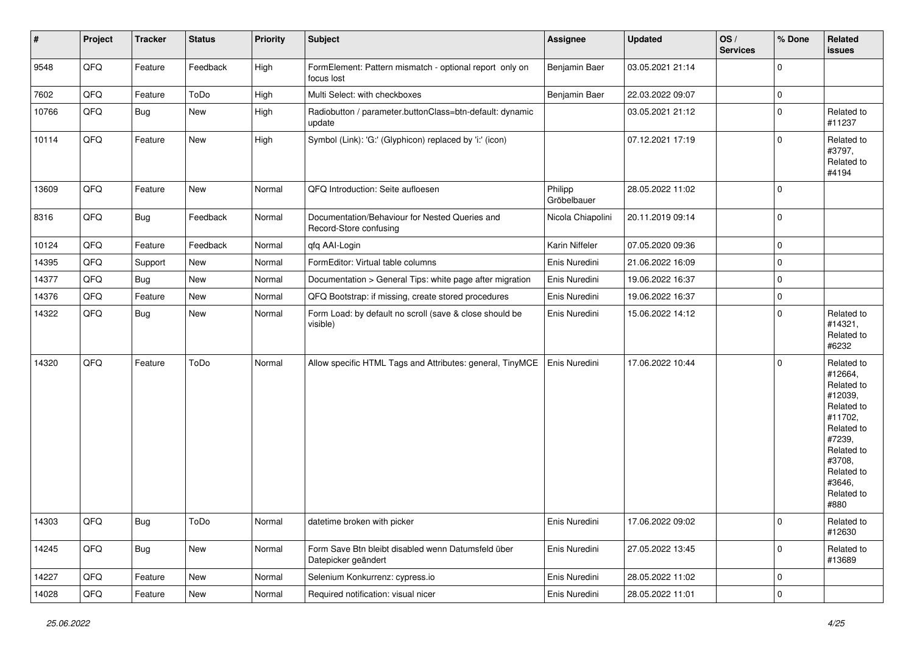| $\sharp$ | Project | <b>Tracker</b> | <b>Status</b> | <b>Priority</b> | <b>Subject</b>                                                            | <b>Assignee</b>        | <b>Updated</b>   | OS/<br><b>Services</b> | % Done      | Related<br><b>issues</b>                                                                                                                                              |
|----------|---------|----------------|---------------|-----------------|---------------------------------------------------------------------------|------------------------|------------------|------------------------|-------------|-----------------------------------------------------------------------------------------------------------------------------------------------------------------------|
| 9548     | QFQ     | Feature        | Feedback      | High            | FormElement: Pattern mismatch - optional report only on<br>focus lost     | Benjamin Baer          | 03.05.2021 21:14 |                        | $\Omega$    |                                                                                                                                                                       |
| 7602     | QFQ     | Feature        | ToDo          | High            | Multi Select: with checkboxes                                             | Benjamin Baer          | 22.03.2022 09:07 |                        | $\mathbf 0$ |                                                                                                                                                                       |
| 10766    | QFQ     | Bug            | New           | High            | Radiobutton / parameter.buttonClass=btn-default: dynamic<br>update        |                        | 03.05.2021 21:12 |                        | $\Omega$    | Related to<br>#11237                                                                                                                                                  |
| 10114    | QFQ     | Feature        | New           | High            | Symbol (Link): 'G:' (Glyphicon) replaced by 'i:' (icon)                   |                        | 07.12.2021 17:19 |                        | $\Omega$    | Related to<br>#3797,<br>Related to<br>#4194                                                                                                                           |
| 13609    | QFQ     | Feature        | New           | Normal          | QFQ Introduction: Seite aufloesen                                         | Philipp<br>Gröbelbauer | 28.05.2022 11:02 |                        | $\Omega$    |                                                                                                                                                                       |
| 8316     | QFQ     | Bug            | Feedback      | Normal          | Documentation/Behaviour for Nested Queries and<br>Record-Store confusing  | Nicola Chiapolini      | 20.11.2019 09:14 |                        | $\Omega$    |                                                                                                                                                                       |
| 10124    | QFQ     | Feature        | Feedback      | Normal          | qfq AAI-Login                                                             | Karin Niffeler         | 07.05.2020 09:36 |                        | $\mathbf 0$ |                                                                                                                                                                       |
| 14395    | QFQ     | Support        | New           | Normal          | FormEditor: Virtual table columns                                         | Enis Nuredini          | 21.06.2022 16:09 |                        | $\Omega$    |                                                                                                                                                                       |
| 14377    | QFQ     | Bug            | New           | Normal          | Documentation > General Tips: white page after migration                  | Enis Nuredini          | 19.06.2022 16:37 |                        | $\mathbf 0$ |                                                                                                                                                                       |
| 14376    | QFQ     | Feature        | New           | Normal          | QFQ Bootstrap: if missing, create stored procedures                       | Enis Nuredini          | 19.06.2022 16:37 |                        | $\Omega$    |                                                                                                                                                                       |
| 14322    | QFQ     | Bug            | New           | Normal          | Form Load: by default no scroll (save & close should be<br>visible)       | Enis Nuredini          | 15.06.2022 14:12 |                        | $\Omega$    | Related to<br>#14321,<br>Related to<br>#6232                                                                                                                          |
| 14320    | QFQ     | Feature        | ToDo          | Normal          | Allow specific HTML Tags and Attributes: general, TinyMCE                 | Enis Nuredini          | 17.06.2022 10:44 |                        | $\Omega$    | Related to<br>#12664,<br>Related to<br>#12039,<br>Related to<br>#11702,<br>Related to<br>#7239,<br>Related to<br>#3708,<br>Related to<br>#3646,<br>Related to<br>#880 |
| 14303    | QFQ     | <b>Bug</b>     | ToDo          | Normal          | datetime broken with picker                                               | Enis Nuredini          | 17.06.2022 09:02 |                        | 0           | Related to<br>#12630                                                                                                                                                  |
| 14245    | QFQ     | Bug            | New           | Normal          | Form Save Btn bleibt disabled wenn Datumsfeld über<br>Datepicker geändert | Enis Nuredini          | 27.05.2022 13:45 |                        | $\mathbf 0$ | Related to<br>#13689                                                                                                                                                  |
| 14227    | QFQ     | Feature        | New           | Normal          | Selenium Konkurrenz: cypress.io                                           | Enis Nuredini          | 28.05.2022 11:02 |                        | 0           |                                                                                                                                                                       |
| 14028    | QFQ     | Feature        | New           | Normal          | Required notification: visual nicer                                       | Enis Nuredini          | 28.05.2022 11:01 |                        | $\pmb{0}$   |                                                                                                                                                                       |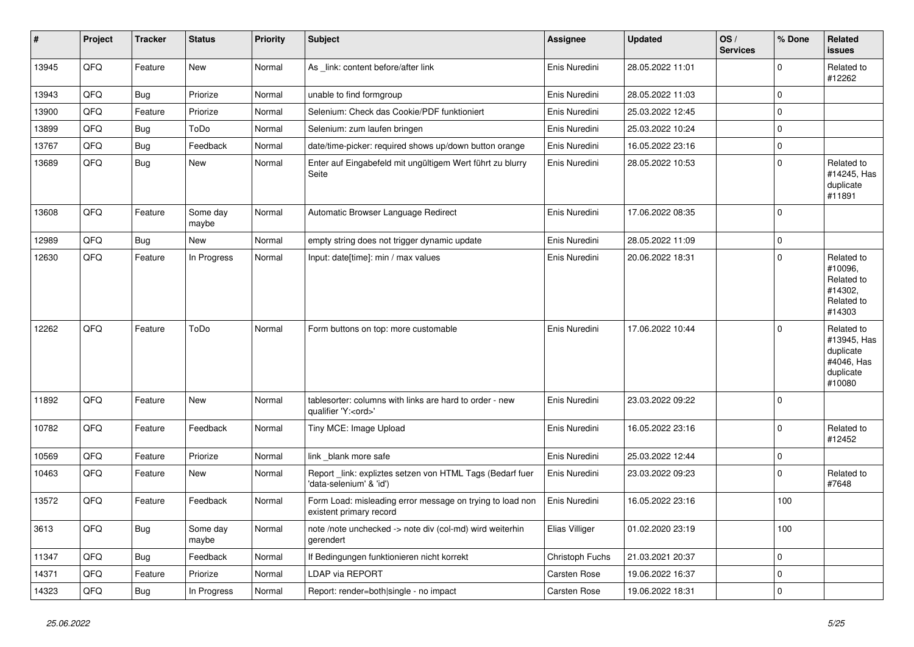| #     | Project | <b>Tracker</b> | <b>Status</b>     | <b>Priority</b> | <b>Subject</b>                                                                        | <b>Assignee</b> | <b>Updated</b>   | OS/<br><b>Services</b> | % Done      | Related<br><b>issues</b>                                                    |
|-------|---------|----------------|-------------------|-----------------|---------------------------------------------------------------------------------------|-----------------|------------------|------------------------|-------------|-----------------------------------------------------------------------------|
| 13945 | QFQ     | Feature        | New               | Normal          | As link: content before/after link                                                    | Enis Nuredini   | 28.05.2022 11:01 |                        | $\Omega$    | Related to<br>#12262                                                        |
| 13943 | QFQ     | <b>Bug</b>     | Priorize          | Normal          | unable to find formgroup                                                              | Enis Nuredini   | 28.05.2022 11:03 |                        | $\mathbf 0$ |                                                                             |
| 13900 | QFQ     | Feature        | Priorize          | Normal          | Selenium: Check das Cookie/PDF funktioniert                                           | Enis Nuredini   | 25.03.2022 12:45 |                        | $\Omega$    |                                                                             |
| 13899 | QFQ     | Bug            | ToDo              | Normal          | Selenium: zum laufen bringen                                                          | Enis Nuredini   | 25.03.2022 10:24 |                        | $\Omega$    |                                                                             |
| 13767 | QFQ     | <b>Bug</b>     | Feedback          | Normal          | date/time-picker: required shows up/down button orange                                | Enis Nuredini   | 16.05.2022 23:16 |                        | $\mathbf 0$ |                                                                             |
| 13689 | QFQ     | <b>Bug</b>     | New               | Normal          | Enter auf Eingabefeld mit ungültigem Wert führt zu blurry<br>Seite                    | Enis Nuredini   | 28.05.2022 10:53 |                        | $\mathbf 0$ | Related to<br>#14245, Has<br>duplicate<br>#11891                            |
| 13608 | QFQ     | Feature        | Some day<br>maybe | Normal          | Automatic Browser Language Redirect                                                   | Enis Nuredini   | 17.06.2022 08:35 |                        | $\Omega$    |                                                                             |
| 12989 | QFQ     | Bug            | New               | Normal          | empty string does not trigger dynamic update                                          | Enis Nuredini   | 28.05.2022 11:09 |                        | $\Omega$    |                                                                             |
| 12630 | QFQ     | Feature        | In Progress       | Normal          | Input: date[time]: min / max values                                                   | Enis Nuredini   | 20.06.2022 18:31 |                        | $\mathbf 0$ | Related to<br>#10096,<br>Related to<br>#14302,<br>Related to<br>#14303      |
| 12262 | QFQ     | Feature        | ToDo              | Normal          | Form buttons on top: more customable                                                  | Enis Nuredini   | 17.06.2022 10:44 |                        | $\Omega$    | Related to<br>#13945, Has<br>duplicate<br>#4046, Has<br>duplicate<br>#10080 |
| 11892 | QFQ     | Feature        | New               | Normal          | tablesorter: columns with links are hard to order - new<br>qualifier 'Y: <ord>'</ord> | Enis Nuredini   | 23.03.2022 09:22 |                        | $\Omega$    |                                                                             |
| 10782 | QFQ     | Feature        | Feedback          | Normal          | Tiny MCE: Image Upload                                                                | Enis Nuredini   | 16.05.2022 23:16 |                        | $\mathbf 0$ | Related to<br>#12452                                                        |
| 10569 | QFQ     | Feature        | Priorize          | Normal          | link _blank more safe                                                                 | Enis Nuredini   | 25.03.2022 12:44 |                        | $\pmb{0}$   |                                                                             |
| 10463 | QFQ     | Feature        | New               | Normal          | Report link: expliztes setzen von HTML Tags (Bedarf fuer<br>'data-selenium' & 'id')   | Enis Nuredini   | 23.03.2022 09:23 |                        | $\Omega$    | Related to<br>#7648                                                         |
| 13572 | QFQ     | Feature        | Feedback          | Normal          | Form Load: misleading error message on trying to load non<br>existent primary record  | Enis Nuredini   | 16.05.2022 23:16 |                        | 100         |                                                                             |
| 3613  | QFQ     | Bug            | Some day<br>maybe | Normal          | note /note unchecked -> note div (col-md) wird weiterhin<br>gerendert                 | Elias Villiger  | 01.02.2020 23:19 |                        | 100         |                                                                             |
| 11347 | QFQ     | Bug            | Feedback          | Normal          | If Bedingungen funktionieren nicht korrekt                                            | Christoph Fuchs | 21.03.2021 20:37 |                        | $\Omega$    |                                                                             |
| 14371 | QFQ     | Feature        | Priorize          | Normal          | <b>LDAP via REPORT</b>                                                                | Carsten Rose    | 19.06.2022 16:37 |                        | $\Omega$    |                                                                             |
| 14323 | QFQ     | <b>Bug</b>     | In Progress       | Normal          | Report: render=both single - no impact                                                | Carsten Rose    | 19.06.2022 18:31 |                        | $\Omega$    |                                                                             |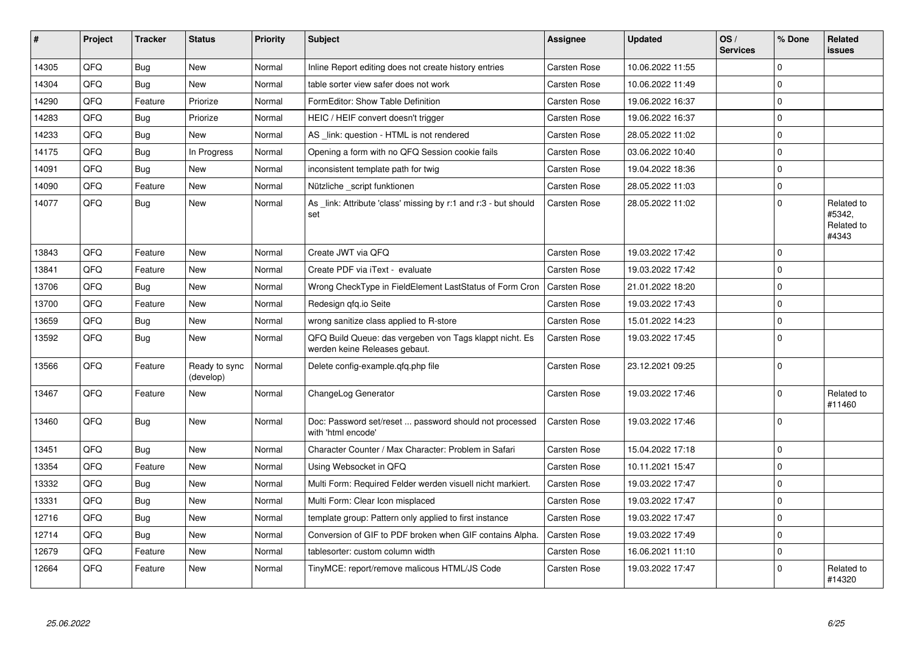| #     | Project | <b>Tracker</b> | <b>Status</b>              | <b>Priority</b> | <b>Subject</b>                                                                           | Assignee            | <b>Updated</b>   | OS/<br><b>Services</b> | % Done   | Related<br><b>issues</b>                    |
|-------|---------|----------------|----------------------------|-----------------|------------------------------------------------------------------------------------------|---------------------|------------------|------------------------|----------|---------------------------------------------|
| 14305 | QFQ     | Bug            | <b>New</b>                 | Normal          | Inline Report editing does not create history entries                                    | Carsten Rose        | 10.06.2022 11:55 |                        | $\Omega$ |                                             |
| 14304 | QFQ     | Bug            | New                        | Normal          | table sorter view safer does not work                                                    | Carsten Rose        | 10.06.2022 11:49 |                        | $\Omega$ |                                             |
| 14290 | QFQ     | Feature        | Priorize                   | Normal          | FormEditor: Show Table Definition                                                        | <b>Carsten Rose</b> | 19.06.2022 16:37 |                        | $\Omega$ |                                             |
| 14283 | QFQ     | Bug            | Priorize                   | Normal          | HEIC / HEIF convert doesn't trigger                                                      | Carsten Rose        | 19.06.2022 16:37 |                        | $\Omega$ |                                             |
| 14233 | QFQ     | <b>Bug</b>     | <b>New</b>                 | Normal          | AS _link: question - HTML is not rendered                                                | Carsten Rose        | 28.05.2022 11:02 |                        | $\Omega$ |                                             |
| 14175 | QFQ     | <b>Bug</b>     | In Progress                | Normal          | Opening a form with no QFQ Session cookie fails                                          | Carsten Rose        | 03.06.2022 10:40 |                        | $\Omega$ |                                             |
| 14091 | QFQ     | Bug            | <b>New</b>                 | Normal          | inconsistent template path for twig                                                      | <b>Carsten Rose</b> | 19.04.2022 18:36 |                        | $\Omega$ |                                             |
| 14090 | QFQ     | Feature        | <b>New</b>                 | Normal          | Nützliche _script funktionen                                                             | Carsten Rose        | 28.05.2022 11:03 |                        | $\Omega$ |                                             |
| 14077 | QFQ     | Bug            | New                        | Normal          | As link: Attribute 'class' missing by r:1 and r:3 - but should<br>set                    | Carsten Rose        | 28.05.2022 11:02 |                        | $\Omega$ | Related to<br>#5342,<br>Related to<br>#4343 |
| 13843 | QFQ     | Feature        | <b>New</b>                 | Normal          | Create JWT via QFQ                                                                       | Carsten Rose        | 19.03.2022 17:42 |                        | $\Omega$ |                                             |
| 13841 | QFQ     | Feature        | New                        | Normal          | Create PDF via iText - evaluate                                                          | <b>Carsten Rose</b> | 19.03.2022 17:42 |                        | $\Omega$ |                                             |
| 13706 | QFQ     | <b>Bug</b>     | <b>New</b>                 | Normal          | Wrong CheckType in FieldElement LastStatus of Form Cron                                  | <b>Carsten Rose</b> | 21.01.2022 18:20 |                        | $\Omega$ |                                             |
| 13700 | QFQ     | Feature        | New                        | Normal          | Redesign gfg.io Seite                                                                    | Carsten Rose        | 19.03.2022 17:43 |                        | $\Omega$ |                                             |
| 13659 | QFQ     | <b>Bug</b>     | <b>New</b>                 | Normal          | wrong sanitize class applied to R-store                                                  | Carsten Rose        | 15.01.2022 14:23 |                        | $\Omega$ |                                             |
| 13592 | QFQ     | Bug            | New                        | Normal          | QFQ Build Queue: das vergeben von Tags klappt nicht. Es<br>werden keine Releases gebaut. | Carsten Rose        | 19.03.2022 17:45 |                        | $\Omega$ |                                             |
| 13566 | QFQ     | Feature        | Ready to sync<br>(develop) | Normal          | Delete config-example.gfg.php file                                                       | Carsten Rose        | 23.12.2021 09:25 |                        | $\Omega$ |                                             |
| 13467 | QFQ     | Feature        | <b>New</b>                 | Normal          | ChangeLog Generator                                                                      | Carsten Rose        | 19.03.2022 17:46 |                        | $\Omega$ | Related to<br>#11460                        |
| 13460 | QFQ     | Bug            | <b>New</b>                 | Normal          | Doc: Password set/reset  password should not processed<br>with 'html encode'             | Carsten Rose        | 19.03.2022 17:46 |                        | $\Omega$ |                                             |
| 13451 | QFQ     | Bug            | <b>New</b>                 | Normal          | Character Counter / Max Character: Problem in Safari                                     | <b>Carsten Rose</b> | 15.04.2022 17:18 |                        | $\Omega$ |                                             |
| 13354 | QFQ     | Feature        | <b>New</b>                 | Normal          | Using Websocket in QFQ                                                                   | <b>Carsten Rose</b> | 10.11.2021 15:47 |                        | $\Omega$ |                                             |
| 13332 | QFQ     | <b>Bug</b>     | <b>New</b>                 | Normal          | Multi Form: Required Felder werden visuell nicht markiert.                               | Carsten Rose        | 19.03.2022 17:47 |                        | $\Omega$ |                                             |
| 13331 | QFQ     | <b>Bug</b>     | <b>New</b>                 | Normal          | Multi Form: Clear Icon misplaced                                                         | Carsten Rose        | 19.03.2022 17:47 |                        | $\Omega$ |                                             |
| 12716 | QFQ     | <b>Bug</b>     | New                        | Normal          | template group: Pattern only applied to first instance                                   | Carsten Rose        | 19.03.2022 17:47 |                        | $\Omega$ |                                             |
| 12714 | QFQ     | Bug            | <b>New</b>                 | Normal          | Conversion of GIF to PDF broken when GIF contains Alpha.                                 | <b>Carsten Rose</b> | 19.03.2022 17:49 |                        | $\Omega$ |                                             |
| 12679 | QFQ     | Feature        | New                        | Normal          | tablesorter: custom column width                                                         | Carsten Rose        | 16.06.2021 11:10 |                        | $\Omega$ |                                             |
| 12664 | QFQ     | Feature        | New                        | Normal          | TinyMCE: report/remove malicous HTML/JS Code                                             | Carsten Rose        | 19.03.2022 17:47 |                        | $\Omega$ | Related to<br>#14320                        |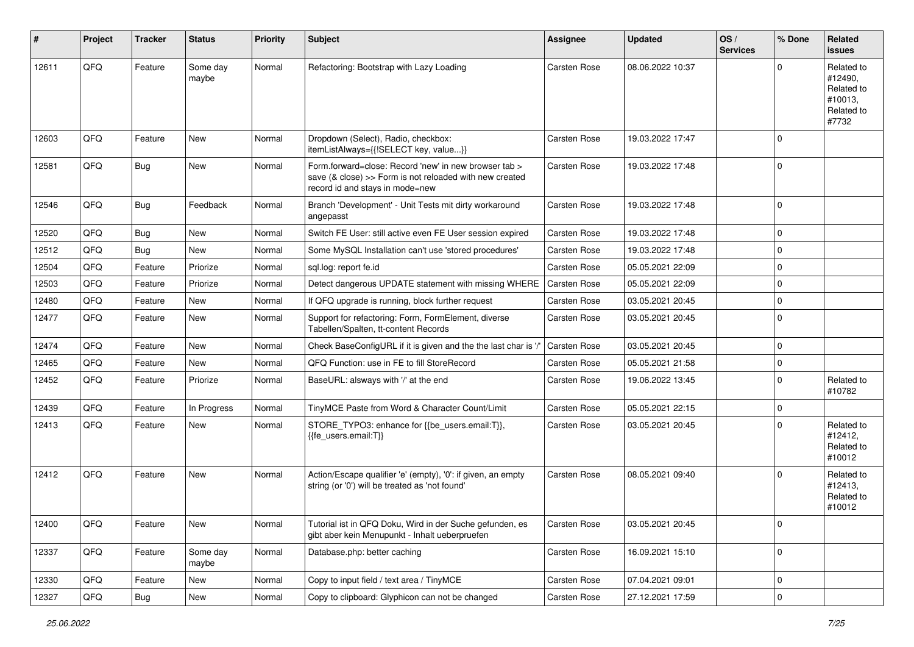| #     | Project | <b>Tracker</b> | <b>Status</b>     | <b>Priority</b> | Subject                                                                                                                                             | <b>Assignee</b> | <b>Updated</b>   | OS/<br><b>Services</b> | % Done    | <b>Related</b><br><b>issues</b>                                       |
|-------|---------|----------------|-------------------|-----------------|-----------------------------------------------------------------------------------------------------------------------------------------------------|-----------------|------------------|------------------------|-----------|-----------------------------------------------------------------------|
| 12611 | QFQ     | Feature        | Some day<br>maybe | Normal          | Refactoring: Bootstrap with Lazy Loading                                                                                                            | Carsten Rose    | 08.06.2022 10:37 |                        | $\Omega$  | Related to<br>#12490,<br>Related to<br>#10013,<br>Related to<br>#7732 |
| 12603 | QFQ     | Feature        | New               | Normal          | Dropdown (Select), Radio, checkbox:<br>itemListAlways={{!SELECT key, value}}                                                                        | Carsten Rose    | 19.03.2022 17:47 |                        | $\Omega$  |                                                                       |
| 12581 | QFQ     | Bug            | New               | Normal          | Form.forward=close: Record 'new' in new browser tab ><br>save (& close) >> Form is not reloaded with new created<br>record id and stays in mode=new | Carsten Rose    | 19.03.2022 17:48 |                        | $\Omega$  |                                                                       |
| 12546 | QFQ     | <b>Bug</b>     | Feedback          | Normal          | Branch 'Development' - Unit Tests mit dirty workaround<br>angepasst                                                                                 | Carsten Rose    | 19.03.2022 17:48 |                        | $\Omega$  |                                                                       |
| 12520 | QFQ     | <b>Bug</b>     | New               | Normal          | Switch FE User: still active even FE User session expired                                                                                           | Carsten Rose    | 19.03.2022 17:48 |                        | $\Omega$  |                                                                       |
| 12512 | QFQ     | <b>Bug</b>     | New               | Normal          | Some MySQL Installation can't use 'stored procedures'                                                                                               | Carsten Rose    | 19.03.2022 17:48 |                        | $\Omega$  |                                                                       |
| 12504 | QFQ     | Feature        | Priorize          | Normal          | sql.log: report fe.id                                                                                                                               | Carsten Rose    | 05.05.2021 22:09 |                        | $\Omega$  |                                                                       |
| 12503 | QFQ     | Feature        | Priorize          | Normal          | Detect dangerous UPDATE statement with missing WHERE                                                                                                | Carsten Rose    | 05.05.2021 22:09 |                        | $\Omega$  |                                                                       |
| 12480 | QFQ     | Feature        | <b>New</b>        | Normal          | If QFQ upgrade is running, block further request                                                                                                    | Carsten Rose    | 03.05.2021 20:45 |                        | $\Omega$  |                                                                       |
| 12477 | QFQ     | Feature        | New               | Normal          | Support for refactoring: Form, FormElement, diverse<br>Tabellen/Spalten, tt-content Records                                                         | Carsten Rose    | 03.05.2021 20:45 |                        | $\Omega$  |                                                                       |
| 12474 | QFQ     | Feature        | New               | Normal          | Check BaseConfigURL if it is given and the the last char is '/                                                                                      | Carsten Rose    | 03.05.2021 20:45 |                        | $\Omega$  |                                                                       |
| 12465 | QFQ     | Feature        | New               | Normal          | QFQ Function: use in FE to fill StoreRecord                                                                                                         | Carsten Rose    | 05.05.2021 21:58 |                        | $\Omega$  |                                                                       |
| 12452 | QFQ     | Feature        | Priorize          | Normal          | BaseURL: alsways with '/' at the end                                                                                                                | Carsten Rose    | 19.06.2022 13:45 |                        | $\Omega$  | Related to<br>#10782                                                  |
| 12439 | QFQ     | Feature        | In Progress       | Normal          | TinyMCE Paste from Word & Character Count/Limit                                                                                                     | Carsten Rose    | 05.05.2021 22:15 |                        | $\Omega$  |                                                                       |
| 12413 | QFQ     | Feature        | New               | Normal          | STORE_TYPO3: enhance for {{be_users.email:T}},<br>{{fe users.email:T}}                                                                              | Carsten Rose    | 03.05.2021 20:45 |                        | $\Omega$  | Related to<br>#12412,<br>Related to<br>#10012                         |
| 12412 | QFQ     | Feature        | New               | Normal          | Action/Escape qualifier 'e' (empty), '0': if given, an empty<br>string (or '0') will be treated as 'not found'                                      | Carsten Rose    | 08.05.2021 09:40 |                        | $\Omega$  | Related to<br>#12413,<br>Related to<br>#10012                         |
| 12400 | QFQ     | Feature        | New               | Normal          | Tutorial ist in QFQ Doku, Wird in der Suche gefunden, es<br>gibt aber kein Menupunkt - Inhalt ueberpruefen                                          | Carsten Rose    | 03.05.2021 20:45 |                        | 0         |                                                                       |
| 12337 | QFQ     | Feature        | Some day<br>maybe | Normal          | Database.php: better caching                                                                                                                        | Carsten Rose    | 16.09.2021 15:10 |                        | $\Omega$  |                                                                       |
| 12330 | QFQ     | Feature        | New               | Normal          | Copy to input field / text area / TinyMCE                                                                                                           | Carsten Rose    | 07.04.2021 09:01 |                        | 0         |                                                                       |
| 12327 | QFQ     | <b>Bug</b>     | New               | Normal          | Copy to clipboard: Glyphicon can not be changed                                                                                                     | Carsten Rose    | 27.12.2021 17:59 |                        | $\pmb{0}$ |                                                                       |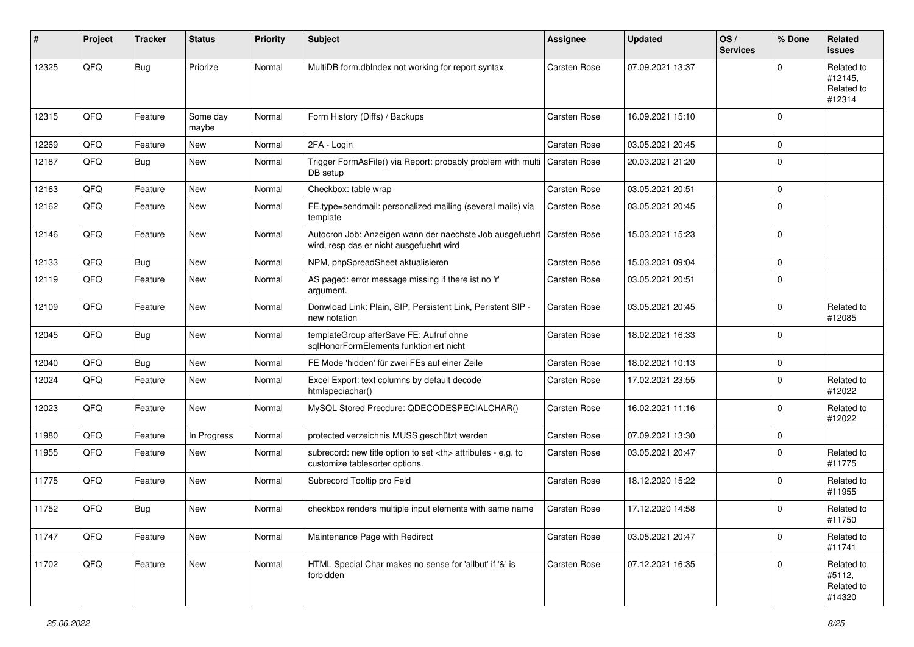| $\sharp$ | Project | <b>Tracker</b> | <b>Status</b>     | <b>Priority</b> | <b>Subject</b>                                                                                       | Assignee                                               | <b>Updated</b>   | OS/<br><b>Services</b> | % Done      | Related<br><b>issues</b>                      |                      |
|----------|---------|----------------|-------------------|-----------------|------------------------------------------------------------------------------------------------------|--------------------------------------------------------|------------------|------------------------|-------------|-----------------------------------------------|----------------------|
| 12325    | QFQ     | <b>Bug</b>     | Priorize          | Normal          | MultiDB form.dblndex not working for report syntax                                                   | Carsten Rose                                           | 07.09.2021 13:37 |                        | $\Omega$    | Related to<br>#12145,<br>Related to<br>#12314 |                      |
| 12315    | QFQ     | Feature        | Some day<br>maybe | Normal          | Form History (Diffs) / Backups                                                                       | <b>Carsten Rose</b>                                    | 16.09.2021 15:10 |                        | $\Omega$    |                                               |                      |
| 12269    | QFQ     | Feature        | <b>New</b>        | Normal          | 2FA - Login                                                                                          | <b>Carsten Rose</b>                                    | 03.05.2021 20:45 |                        | $\Omega$    |                                               |                      |
| 12187    | QFQ     | Bug            | New               | Normal          | Trigger FormAsFile() via Report: probably problem with multi<br>DB setup                             | <b>Carsten Rose</b>                                    | 20.03.2021 21:20 |                        | $\Omega$    |                                               |                      |
| 12163    | QFQ     | Feature        | New               | Normal          | Checkbox: table wrap                                                                                 | Carsten Rose                                           | 03.05.2021 20:51 |                        | $\mathbf 0$ |                                               |                      |
| 12162    | QFQ     | Feature        | New               | Normal          | FE.type=sendmail: personalized mailing (several mails) via<br>template                               | Carsten Rose                                           | 03.05.2021 20:45 |                        | $\Omega$    |                                               |                      |
| 12146    | QFQ     | Feature        | New               | Normal          | Autocron Job: Anzeigen wann der naechste Job ausgefuehrt<br>wird, resp das er nicht ausgefuehrt wird | <b>Carsten Rose</b>                                    | 15.03.2021 15:23 |                        | $\Omega$    |                                               |                      |
| 12133    | QFQ     | Bug            | <b>New</b>        | Normal          | NPM, phpSpreadSheet aktualisieren                                                                    | Carsten Rose                                           | 15.03.2021 09:04 |                        | $\Omega$    |                                               |                      |
| 12119    | QFQ     | Feature        | New               | Normal          | AS paged: error message missing if there ist no 'r'<br>argument.                                     | Carsten Rose                                           | 03.05.2021 20:51 |                        | $\Omega$    |                                               |                      |
| 12109    | QFQ     | Feature        | New               | Normal          | Donwload Link: Plain, SIP, Persistent Link, Peristent SIP -<br>new notation                          | Carsten Rose                                           | 03.05.2021 20:45 |                        | $\Omega$    | Related to<br>#12085                          |                      |
| 12045    | QFQ     | <b>Bug</b>     | <b>New</b>        | Normal          | templateGroup afterSave FE: Aufruf ohne<br>sqlHonorFormElements funktioniert nicht                   | <b>Carsten Rose</b>                                    | 18.02.2021 16:33 |                        | $\Omega$    |                                               |                      |
| 12040    | QFQ     | Bug            | New               | Normal          | FE Mode 'hidden' für zwei FEs auf einer Zeile                                                        | <b>Carsten Rose</b>                                    | 18.02.2021 10:13 |                        | $\Omega$    |                                               |                      |
| 12024    | QFQ     | Feature        | <b>New</b>        | Normal          | Excel Export: text columns by default decode<br>htmlspeciachar()                                     | Carsten Rose                                           | 17.02.2021 23:55 |                        | $\Omega$    | Related to<br>#12022                          |                      |
| 12023    | QFQ     | Feature        | New               | Normal          | MySQL Stored Precdure: QDECODESPECIALCHAR()                                                          | Carsten Rose                                           | 16.02.2021 11:16 |                        | $\Omega$    | Related to<br>#12022                          |                      |
| 11980    | QFQ     | Feature        | In Progress       | Normal          | protected verzeichnis MUSS geschützt werden                                                          | Carsten Rose                                           | 07.09.2021 13:30 |                        | $\Omega$    |                                               |                      |
| 11955    | QFQ     | Feature        | New               | Normal          | subrecord: new title option to set <th> attributes - e.g. to<br/>customize tablesorter options.</th> | attributes - e.g. to<br>customize tablesorter options. | Carsten Rose     | 03.05.2021 20:47       |             | $\Omega$                                      | Related to<br>#11775 |
| 11775    | QFQ     | Feature        | New               | Normal          | Subrecord Tooltip pro Feld                                                                           | Carsten Rose                                           | 18.12.2020 15:22 |                        | $\Omega$    | Related to<br>#11955                          |                      |
| 11752    | QFQ     | Bug            | New               | Normal          | checkbox renders multiple input elements with same name                                              | Carsten Rose                                           | 17.12.2020 14:58 |                        | $\Omega$    | Related to<br>#11750                          |                      |
| 11747    | QFQ     | Feature        | New               | Normal          | Maintenance Page with Redirect                                                                       | Carsten Rose                                           | 03.05.2021 20:47 |                        | 0           | Related to<br>#11741                          |                      |
| 11702    | QFQ     | Feature        | New               | Normal          | HTML Special Char makes no sense for 'allbut' if '&' is<br>forbidden                                 | Carsten Rose                                           | 07.12.2021 16:35 |                        | 0           | Related to<br>#5112,<br>Related to<br>#14320  |                      |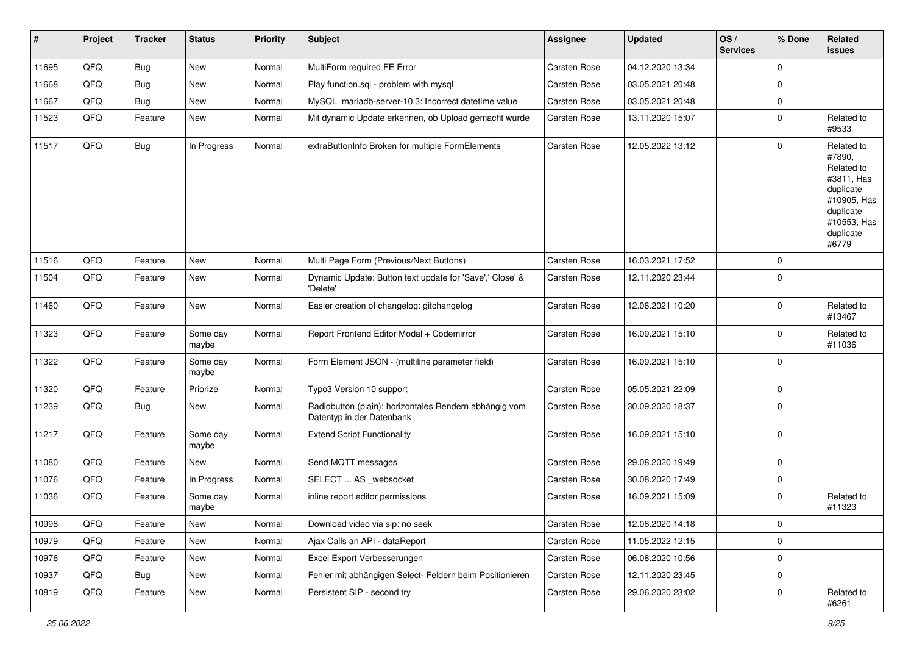| #     | Project | <b>Tracker</b> | <b>Status</b>     | <b>Priority</b> | <b>Subject</b>                                                                      | <b>Assignee</b>     | <b>Updated</b>   | OS/<br><b>Services</b> | % Done              | Related<br><b>issues</b>                                                                                                       |
|-------|---------|----------------|-------------------|-----------------|-------------------------------------------------------------------------------------|---------------------|------------------|------------------------|---------------------|--------------------------------------------------------------------------------------------------------------------------------|
| 11695 | QFQ     | <b>Bug</b>     | <b>New</b>        | Normal          | MultiForm required FE Error                                                         | <b>Carsten Rose</b> | 04.12.2020 13:34 |                        | $\mathbf 0$         |                                                                                                                                |
| 11668 | QFQ     | <b>Bug</b>     | New               | Normal          | Play function.sql - problem with mysql                                              | <b>Carsten Rose</b> | 03.05.2021 20:48 |                        | 0                   |                                                                                                                                |
| 11667 | QFQ     | <b>Bug</b>     | New               | Normal          | MySQL mariadb-server-10.3: Incorrect datetime value                                 | Carsten Rose        | 03.05.2021 20:48 |                        | 0                   |                                                                                                                                |
| 11523 | QFQ     | Feature        | New               | Normal          | Mit dynamic Update erkennen, ob Upload gemacht wurde                                | Carsten Rose        | 13.11.2020 15:07 |                        | $\mathbf 0$         | Related to<br>#9533                                                                                                            |
| 11517 | QFQ     | Bug            | In Progress       | Normal          | extraButtonInfo Broken for multiple FormElements                                    | <b>Carsten Rose</b> | 12.05.2022 13:12 |                        | $\mathbf 0$         | Related to<br>#7890,<br>Related to<br>#3811, Has<br>duplicate<br>#10905, Has<br>duplicate<br>#10553, Has<br>duplicate<br>#6779 |
| 11516 | QFQ     | Feature        | New               | Normal          | Multi Page Form (Previous/Next Buttons)                                             | <b>Carsten Rose</b> | 16.03.2021 17:52 |                        | $\mathbf 0$         |                                                                                                                                |
| 11504 | QFQ     | Feature        | New               | Normal          | Dynamic Update: Button text update for 'Save',' Close' &<br>'Delete'                | <b>Carsten Rose</b> | 12.11.2020 23:44 |                        | $\mathbf 0$         |                                                                                                                                |
| 11460 | QFQ     | Feature        | New               | Normal          | Easier creation of changelog: gitchangelog                                          | Carsten Rose        | 12.06.2021 10:20 |                        | $\mathbf 0$         | Related to<br>#13467                                                                                                           |
| 11323 | QFQ     | Feature        | Some day<br>maybe | Normal          | Report Frontend Editor Modal + Codemirror                                           | <b>Carsten Rose</b> | 16.09.2021 15:10 |                        | $\mathbf 0$         | Related to<br>#11036                                                                                                           |
| 11322 | QFQ     | Feature        | Some day<br>maybe | Normal          | Form Element JSON - (multiline parameter field)                                     | <b>Carsten Rose</b> | 16.09.2021 15:10 |                        | $\mathbf 0$         |                                                                                                                                |
| 11320 | QFQ     | Feature        | Priorize          | Normal          | Typo3 Version 10 support                                                            | Carsten Rose        | 05.05.2021 22:09 |                        | $\mathbf 0$         |                                                                                                                                |
| 11239 | QFQ     | Bug            | New               | Normal          | Radiobutton (plain): horizontales Rendern abhängig vom<br>Datentyp in der Datenbank | Carsten Rose        | 30.09.2020 18:37 |                        | $\mathbf 0$         |                                                                                                                                |
| 11217 | QFQ     | Feature        | Some day<br>maybe | Normal          | <b>Extend Script Functionality</b>                                                  | Carsten Rose        | 16.09.2021 15:10 |                        | $\mathbf 0$         |                                                                                                                                |
| 11080 | QFQ     | Feature        | New               | Normal          | Send MQTT messages                                                                  | Carsten Rose        | 29.08.2020 19:49 |                        | 0                   |                                                                                                                                |
| 11076 | QFQ     | Feature        | In Progress       | Normal          | SELECT  AS _websocket                                                               | Carsten Rose        | 30.08.2020 17:49 |                        | 0                   |                                                                                                                                |
| 11036 | QFQ     | Feature        | Some day<br>maybe | Normal          | inline report editor permissions                                                    | Carsten Rose        | 16.09.2021 15:09 |                        | $\mathbf 0$         | Related to<br>#11323                                                                                                           |
| 10996 | QFQ     | Feature        | New               | Normal          | Download video via sip: no seek                                                     | Carsten Rose        | 12.08.2020 14:18 |                        | 0                   |                                                                                                                                |
| 10979 | QFQ     | Feature        | New               | Normal          | Ajax Calls an API - dataReport                                                      | Carsten Rose        | 11.05.2022 12:15 |                        | $\mathbf 0$         |                                                                                                                                |
| 10976 | QFQ     | Feature        | New               | Normal          | Excel Export Verbesserungen                                                         | Carsten Rose        | 06.08.2020 10:56 |                        | $\mathsf{O}\xspace$ |                                                                                                                                |
| 10937 | QFQ     | Bug            | New               | Normal          | Fehler mit abhängigen Select- Feldern beim Positionieren                            | Carsten Rose        | 12.11.2020 23:45 |                        | $\mathbf 0$         |                                                                                                                                |
| 10819 | QFQ     | Feature        | New               | Normal          | Persistent SIP - second try                                                         | Carsten Rose        | 29.06.2020 23:02 |                        | $\mathbf 0$         | Related to<br>#6261                                                                                                            |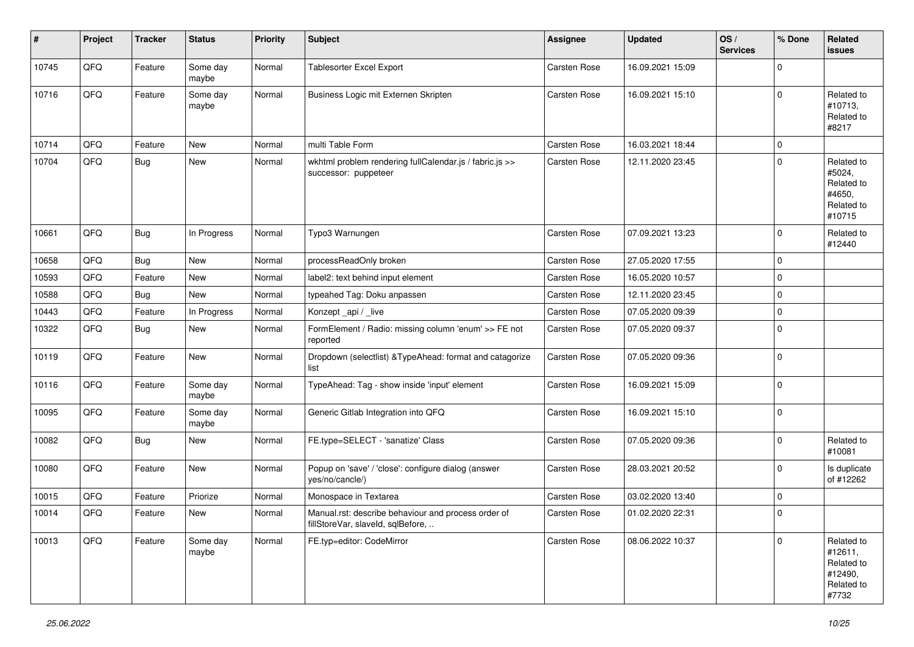| #     | Project | <b>Tracker</b> | <b>Status</b>     | <b>Priority</b> | <b>Subject</b>                                                                           | <b>Assignee</b>     | <b>Updated</b>   | OS/<br><b>Services</b> | % Done      | <b>Related</b><br>issues                                              |
|-------|---------|----------------|-------------------|-----------------|------------------------------------------------------------------------------------------|---------------------|------------------|------------------------|-------------|-----------------------------------------------------------------------|
| 10745 | QFQ     | Feature        | Some day<br>maybe | Normal          | Tablesorter Excel Export                                                                 | <b>Carsten Rose</b> | 16.09.2021 15:09 |                        | $\mathbf 0$ |                                                                       |
| 10716 | QFQ     | Feature        | Some day<br>maybe | Normal          | Business Logic mit Externen Skripten                                                     | Carsten Rose        | 16.09.2021 15:10 |                        | $\mathbf 0$ | Related to<br>#10713,<br>Related to<br>#8217                          |
| 10714 | QFQ     | Feature        | <b>New</b>        | Normal          | multi Table Form                                                                         | <b>Carsten Rose</b> | 16.03.2021 18:44 |                        | $\mathbf 0$ |                                                                       |
| 10704 | QFQ     | Bug            | New               | Normal          | wkhtml problem rendering fullCalendar.js / fabric.js >><br>successor: puppeteer          | Carsten Rose        | 12.11.2020 23:45 |                        | $\mathbf 0$ | Related to<br>#5024,<br>Related to<br>#4650,<br>Related to<br>#10715  |
| 10661 | QFQ     | <b>Bug</b>     | In Progress       | Normal          | Typo3 Warnungen                                                                          | <b>Carsten Rose</b> | 07.09.2021 13:23 |                        | 0           | Related to<br>#12440                                                  |
| 10658 | QFQ     | Bug            | New               | Normal          | processReadOnly broken                                                                   | <b>Carsten Rose</b> | 27.05.2020 17:55 |                        | $\mathbf 0$ |                                                                       |
| 10593 | QFQ     | Feature        | New               | Normal          | label2: text behind input element                                                        | Carsten Rose        | 16.05.2020 10:57 |                        | $\pmb{0}$   |                                                                       |
| 10588 | QFQ     | Bug            | New               | Normal          | typeahed Tag: Doku anpassen                                                              | <b>Carsten Rose</b> | 12.11.2020 23:45 |                        | $\mathbf 0$ |                                                                       |
| 10443 | QFQ     | Feature        | In Progress       | Normal          | Konzept api / live                                                                       | <b>Carsten Rose</b> | 07.05.2020 09:39 |                        | $\mathbf 0$ |                                                                       |
| 10322 | QFQ     | Bug            | New               | Normal          | FormElement / Radio: missing column 'enum' >> FE not<br>reported                         | <b>Carsten Rose</b> | 07.05.2020 09:37 |                        | $\pmb{0}$   |                                                                       |
| 10119 | QFQ     | Feature        | New               | Normal          | Dropdown (selectlist) & TypeAhead: format and catagorize<br>list                         | Carsten Rose        | 07.05.2020 09:36 |                        | $\mathbf 0$ |                                                                       |
| 10116 | QFQ     | Feature        | Some day<br>maybe | Normal          | TypeAhead: Tag - show inside 'input' element                                             | Carsten Rose        | 16.09.2021 15:09 |                        | $\mathbf 0$ |                                                                       |
| 10095 | QFQ     | Feature        | Some day<br>maybe | Normal          | Generic Gitlab Integration into QFQ                                                      | Carsten Rose        | 16.09.2021 15:10 |                        | $\mathbf 0$ |                                                                       |
| 10082 | QFQ     | Bug            | New               | Normal          | FE.type=SELECT - 'sanatize' Class                                                        | Carsten Rose        | 07.05.2020 09:36 |                        | $\mathbf 0$ | Related to<br>#10081                                                  |
| 10080 | QFQ     | Feature        | New               | Normal          | Popup on 'save' / 'close': configure dialog (answer<br>yes/no/cancle/)                   | <b>Carsten Rose</b> | 28.03.2021 20:52 |                        | 0           | Is duplicate<br>of #12262                                             |
| 10015 | QFQ     | Feature        | Priorize          | Normal          | Monospace in Textarea                                                                    | <b>Carsten Rose</b> | 03.02.2020 13:40 |                        | 0           |                                                                       |
| 10014 | QFQ     | Feature        | New               | Normal          | Manual.rst: describe behaviour and process order of<br>fillStoreVar, slaveId, sqlBefore, | Carsten Rose        | 01.02.2020 22:31 |                        | $\mathbf 0$ |                                                                       |
| 10013 | QFQ     | Feature        | Some day<br>maybe | Normal          | FE.typ=editor: CodeMirror                                                                | Carsten Rose        | 08.06.2022 10:37 |                        | $\mathbf 0$ | Related to<br>#12611,<br>Related to<br>#12490,<br>Related to<br>#7732 |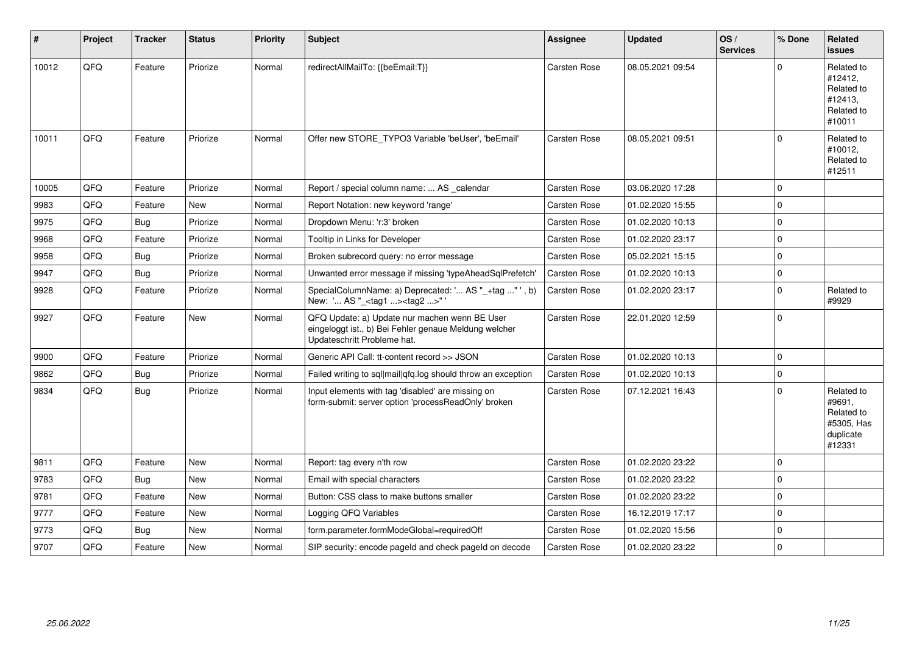| $\vert$ # | Project | <b>Tracker</b> | <b>Status</b> | <b>Priority</b> | Subject                                                                                                                               | Assignee            | <b>Updated</b>   | OS/<br><b>Services</b> | % Done      | Related<br><b>issues</b>                                                |
|-----------|---------|----------------|---------------|-----------------|---------------------------------------------------------------------------------------------------------------------------------------|---------------------|------------------|------------------------|-------------|-------------------------------------------------------------------------|
| 10012     | QFQ     | Feature        | Priorize      | Normal          | redirectAllMailTo: {{beEmail:T}}                                                                                                      | Carsten Rose        | 08.05.2021 09:54 |                        | $\Omega$    | Related to<br>#12412,<br>Related to<br>#12413,<br>Related to<br>#10011  |
| 10011     | QFQ     | Feature        | Priorize      | Normal          | Offer new STORE_TYPO3 Variable 'beUser', 'beEmail'                                                                                    | Carsten Rose        | 08.05.2021 09:51 |                        | $\Omega$    | Related to<br>#10012,<br>Related to<br>#12511                           |
| 10005     | QFQ     | Feature        | Priorize      | Normal          | Report / special column name:  AS _calendar                                                                                           | Carsten Rose        | 03.06.2020 17:28 |                        | $\mathbf 0$ |                                                                         |
| 9983      | QFQ     | Feature        | <b>New</b>    | Normal          | Report Notation: new keyword 'range'                                                                                                  | Carsten Rose        | 01.02.2020 15:55 |                        | $\Omega$    |                                                                         |
| 9975      | QFQ     | Bug            | Priorize      | Normal          | Dropdown Menu: 'r:3' broken                                                                                                           | Carsten Rose        | 01.02.2020 10:13 |                        | $\mathbf 0$ |                                                                         |
| 9968      | QFQ     | Feature        | Priorize      | Normal          | Tooltip in Links for Developer                                                                                                        | <b>Carsten Rose</b> | 01.02.2020 23:17 |                        | $\mathbf 0$ |                                                                         |
| 9958      | QFQ     | <b>Bug</b>     | Priorize      | Normal          | Broken subrecord query: no error message                                                                                              | Carsten Rose        | 05.02.2021 15:15 |                        | $\mathbf 0$ |                                                                         |
| 9947      | QFQ     | <b>Bug</b>     | Priorize      | Normal          | Unwanted error message if missing 'typeAheadSqlPrefetch'                                                                              | Carsten Rose        | 01.02.2020 10:13 |                        | $\mathbf 0$ |                                                                         |
| 9928      | QFQ     | Feature        | Priorize      | Normal          | SpecialColumnName: a) Deprecated: ' AS "_+tag " ', b)<br>New: ' AS "_ <tag1><tag2>"</tag2></tag1>                                     | Carsten Rose        | 01.02.2020 23:17 |                        | $\mathbf 0$ | Related to<br>#9929                                                     |
| 9927      | QFQ     | Feature        | New           | Normal          | QFQ Update: a) Update nur machen wenn BE User<br>eingeloggt ist., b) Bei Fehler genaue Meldung welcher<br>Updateschritt Probleme hat. | Carsten Rose        | 22.01.2020 12:59 |                        | $\mathbf 0$ |                                                                         |
| 9900      | QFQ     | Feature        | Priorize      | Normal          | Generic API Call: tt-content record >> JSON                                                                                           | Carsten Rose        | 01.02.2020 10:13 |                        | $\mathbf 0$ |                                                                         |
| 9862      | QFQ     | <b>Bug</b>     | Priorize      | Normal          | Failed writing to sql mail qfq.log should throw an exception                                                                          | Carsten Rose        | 01.02.2020 10:13 |                        | $\mathbf 0$ |                                                                         |
| 9834      | QFQ     | Bug            | Priorize      | Normal          | Input elements with tag 'disabled' are missing on<br>form-submit: server option 'processReadOnly' broken                              | Carsten Rose        | 07.12.2021 16:43 |                        | $\Omega$    | Related to<br>#9691,<br>Related to<br>#5305, Has<br>duplicate<br>#12331 |
| 9811      | QFQ     | Feature        | New           | Normal          | Report: tag every n'th row                                                                                                            | Carsten Rose        | 01.02.2020 23:22 |                        | $\mathbf 0$ |                                                                         |
| 9783      | QFQ     | Bug            | <b>New</b>    | Normal          | Email with special characters                                                                                                         | Carsten Rose        | 01.02.2020 23:22 |                        | $\mathbf 0$ |                                                                         |
| 9781      | QFQ     | Feature        | New           | Normal          | Button: CSS class to make buttons smaller                                                                                             | Carsten Rose        | 01.02.2020 23:22 |                        | $\mathbf 0$ |                                                                         |
| 9777      | QFQ     | Feature        | <b>New</b>    | Normal          | Logging QFQ Variables                                                                                                                 | Carsten Rose        | 16.12.2019 17:17 |                        | $\mathbf 0$ |                                                                         |
| 9773      | QFQ     | <b>Bug</b>     | <b>New</b>    | Normal          | form.parameter.formModeGlobal=requiredOff                                                                                             | Carsten Rose        | 01.02.2020 15:56 |                        | $\Omega$    |                                                                         |
| 9707      | QFQ     | Feature        | New           | Normal          | SIP security: encode pageld and check pageld on decode                                                                                | <b>Carsten Rose</b> | 01.02.2020 23:22 |                        | $\mathbf 0$ |                                                                         |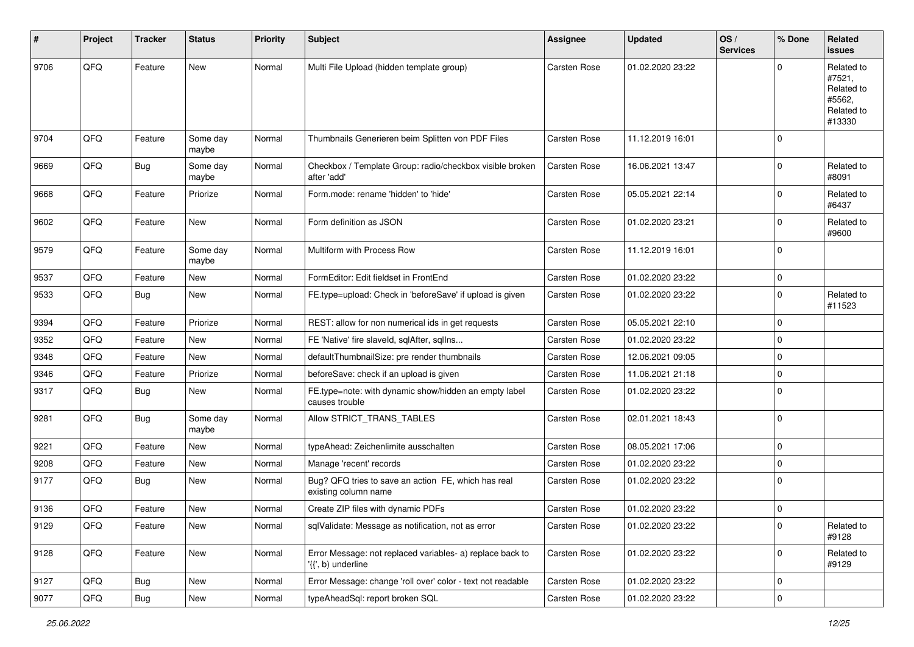| #    | Project | <b>Tracker</b> | <b>Status</b>     | <b>Priority</b> | <b>Subject</b>                                                                  | <b>Assignee</b>     | <b>Updated</b>   | OS/<br><b>Services</b> | % Done      | Related<br>issues                                                    |
|------|---------|----------------|-------------------|-----------------|---------------------------------------------------------------------------------|---------------------|------------------|------------------------|-------------|----------------------------------------------------------------------|
| 9706 | QFQ     | Feature        | <b>New</b>        | Normal          | Multi File Upload (hidden template group)                                       | Carsten Rose        | 01.02.2020 23:22 |                        | $\Omega$    | Related to<br>#7521,<br>Related to<br>#5562,<br>Related to<br>#13330 |
| 9704 | QFQ     | Feature        | Some day<br>maybe | Normal          | Thumbnails Generieren beim Splitten von PDF Files                               | <b>Carsten Rose</b> | 11.12.2019 16:01 |                        | $\Omega$    |                                                                      |
| 9669 | QFQ     | Bug            | Some day<br>maybe | Normal          | Checkbox / Template Group: radio/checkbox visible broken<br>after 'add'         | Carsten Rose        | 16.06.2021 13:47 |                        | $\Omega$    | Related to<br>#8091                                                  |
| 9668 | QFQ     | Feature        | Priorize          | Normal          | Form.mode: rename 'hidden' to 'hide'                                            | Carsten Rose        | 05.05.2021 22:14 |                        | $\Omega$    | Related to<br>#6437                                                  |
| 9602 | QFQ     | Feature        | New               | Normal          | Form definition as JSON                                                         | Carsten Rose        | 01.02.2020 23:21 |                        | $\mathbf 0$ | Related to<br>#9600                                                  |
| 9579 | QFQ     | Feature        | Some day<br>maybe | Normal          | Multiform with Process Row                                                      | Carsten Rose        | 11.12.2019 16:01 |                        | $\Omega$    |                                                                      |
| 9537 | QFQ     | Feature        | New               | Normal          | FormEditor: Edit fieldset in FrontEnd                                           | Carsten Rose        | 01.02.2020 23:22 |                        | 0           |                                                                      |
| 9533 | QFQ     | <b>Bug</b>     | <b>New</b>        | Normal          | FE.type=upload: Check in 'beforeSave' if upload is given                        | Carsten Rose        | 01.02.2020 23:22 |                        | $\Omega$    | Related to<br>#11523                                                 |
| 9394 | QFQ     | Feature        | Priorize          | Normal          | REST: allow for non numerical ids in get requests                               | Carsten Rose        | 05.05.2021 22:10 |                        | $\Omega$    |                                                                      |
| 9352 | QFQ     | Feature        | New               | Normal          | FE 'Native' fire slaveld, sqlAfter, sqlIns                                      | Carsten Rose        | 01.02.2020 23:22 |                        | $\Omega$    |                                                                      |
| 9348 | QFQ     | Feature        | New               | Normal          | defaultThumbnailSize: pre render thumbnails                                     | Carsten Rose        | 12.06.2021 09:05 |                        | $\Omega$    |                                                                      |
| 9346 | QFQ     | Feature        | Priorize          | Normal          | beforeSave: check if an upload is given                                         | Carsten Rose        | 11.06.2021 21:18 |                        | $\Omega$    |                                                                      |
| 9317 | QFQ     | Bug            | New               | Normal          | FE.type=note: with dynamic show/hidden an empty label<br>causes trouble         | Carsten Rose        | 01.02.2020 23:22 |                        | $\mathbf 0$ |                                                                      |
| 9281 | QFQ     | <b>Bug</b>     | Some day<br>maybe | Normal          | Allow STRICT_TRANS_TABLES                                                       | <b>Carsten Rose</b> | 02.01.2021 18:43 |                        | $\mathbf 0$ |                                                                      |
| 9221 | QFQ     | Feature        | New               | Normal          | typeAhead: Zeichenlimite ausschalten                                            | Carsten Rose        | 08.05.2021 17:06 |                        | $\mathbf 0$ |                                                                      |
| 9208 | QFQ     | Feature        | New               | Normal          | Manage 'recent' records                                                         | Carsten Rose        | 01.02.2020 23:22 |                        | $\Omega$    |                                                                      |
| 9177 | QFQ     | Bug            | New               | Normal          | Bug? QFQ tries to save an action FE, which has real<br>existing column name     | Carsten Rose        | 01.02.2020 23:22 |                        | $\Omega$    |                                                                      |
| 9136 | QFQ     | Feature        | <b>New</b>        | Normal          | Create ZIP files with dynamic PDFs                                              | Carsten Rose        | 01.02.2020 23:22 |                        | 0           |                                                                      |
| 9129 | QFQ     | Feature        | New               | Normal          | sqlValidate: Message as notification, not as error                              | Carsten Rose        | 01.02.2020 23:22 |                        | $\pmb{0}$   | Related to<br>#9128                                                  |
| 9128 | QFQ     | Feature        | New               | Normal          | Error Message: not replaced variables- a) replace back to<br>'{{', b) underline | Carsten Rose        | 01.02.2020 23:22 |                        | 0           | Related to<br>#9129                                                  |
| 9127 | QFQ     | Bug            | New               | Normal          | Error Message: change 'roll over' color - text not readable                     | Carsten Rose        | 01.02.2020 23:22 |                        | 0           |                                                                      |
| 9077 | QFQ     | Bug            | New               | Normal          | typeAheadSql: report broken SQL                                                 | Carsten Rose        | 01.02.2020 23:22 |                        | $\pmb{0}$   |                                                                      |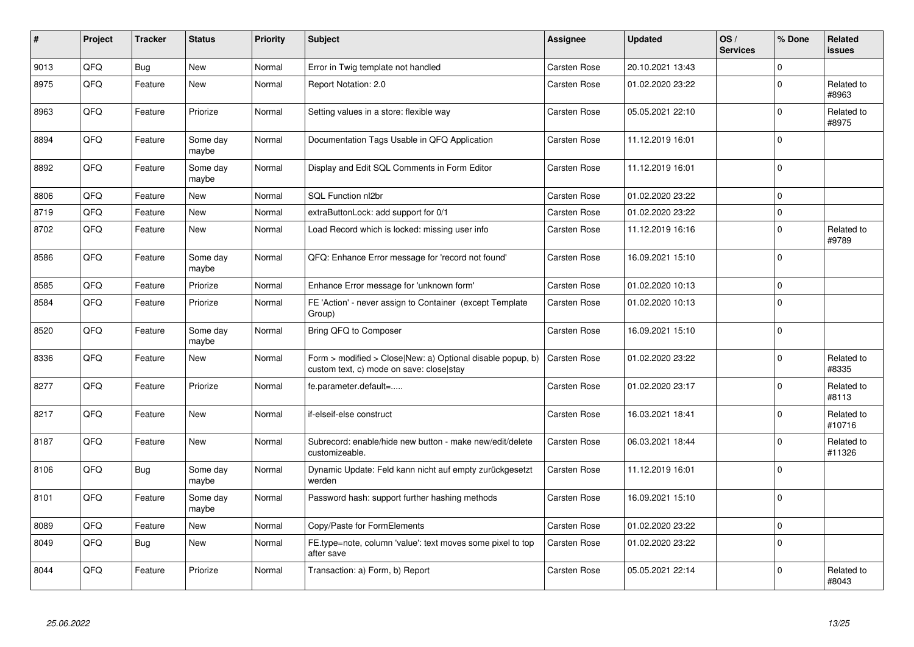| $\sharp$ | Project | <b>Tracker</b> | <b>Status</b>     | <b>Priority</b> | <b>Subject</b>                                                                                         | Assignee     | <b>Updated</b>   | OS/<br><b>Services</b> | % Done      | Related<br><b>issues</b> |
|----------|---------|----------------|-------------------|-----------------|--------------------------------------------------------------------------------------------------------|--------------|------------------|------------------------|-------------|--------------------------|
| 9013     | QFQ     | <b>Bug</b>     | <b>New</b>        | Normal          | Error in Twig template not handled                                                                     | Carsten Rose | 20.10.2021 13:43 |                        | $\Omega$    |                          |
| 8975     | QFQ     | Feature        | <b>New</b>        | Normal          | Report Notation: 2.0                                                                                   | Carsten Rose | 01.02.2020 23:22 |                        | $\pmb{0}$   | Related to<br>#8963      |
| 8963     | QFQ     | Feature        | Priorize          | Normal          | Setting values in a store: flexible way                                                                | Carsten Rose | 05.05.2021 22:10 |                        | $\Omega$    | Related to<br>#8975      |
| 8894     | QFQ     | Feature        | Some day<br>maybe | Normal          | Documentation Tags Usable in QFQ Application                                                           | Carsten Rose | 11.12.2019 16:01 |                        | $\mathbf 0$ |                          |
| 8892     | QFQ     | Feature        | Some day<br>maybe | Normal          | Display and Edit SQL Comments in Form Editor                                                           | Carsten Rose | 11.12.2019 16:01 |                        | $\Omega$    |                          |
| 8806     | QFQ     | Feature        | <b>New</b>        | Normal          | <b>SQL Function nl2br</b>                                                                              | Carsten Rose | 01.02.2020 23:22 |                        | 0           |                          |
| 8719     | QFQ     | Feature        | <b>New</b>        | Normal          | extraButtonLock: add support for 0/1                                                                   | Carsten Rose | 01.02.2020 23:22 |                        | $\pmb{0}$   |                          |
| 8702     | QFQ     | Feature        | <b>New</b>        | Normal          | Load Record which is locked: missing user info                                                         | Carsten Rose | 11.12.2019 16:16 |                        | $\mathbf 0$ | Related to<br>#9789      |
| 8586     | QFQ     | Feature        | Some day<br>maybe | Normal          | QFQ: Enhance Error message for 'record not found'                                                      | Carsten Rose | 16.09.2021 15:10 |                        | $\Omega$    |                          |
| 8585     | QFQ     | Feature        | Priorize          | Normal          | Enhance Error message for 'unknown form'                                                               | Carsten Rose | 01.02.2020 10:13 |                        | 0           |                          |
| 8584     | QFG     | Feature        | Priorize          | Normal          | FE 'Action' - never assign to Container (except Template<br>Group)                                     | Carsten Rose | 01.02.2020 10:13 |                        | $\Omega$    |                          |
| 8520     | QFQ     | Feature        | Some day<br>maybe | Normal          | Bring QFQ to Composer                                                                                  | Carsten Rose | 16.09.2021 15:10 |                        | $\Omega$    |                          |
| 8336     | QFQ     | Feature        | <b>New</b>        | Normal          | Form > modified > Close New: a) Optional disable popup, b)<br>custom text, c) mode on save: close stay | Carsten Rose | 01.02.2020 23:22 |                        | $\Omega$    | Related to<br>#8335      |
| 8277     | QFQ     | Feature        | Priorize          | Normal          | fe.parameter.default=                                                                                  | Carsten Rose | 01.02.2020 23:17 |                        | 0           | Related to<br>#8113      |
| 8217     | QFQ     | Feature        | <b>New</b>        | Normal          | if-elseif-else construct                                                                               | Carsten Rose | 16.03.2021 18:41 |                        | $\Omega$    | Related to<br>#10716     |
| 8187     | QFQ     | Feature        | <b>New</b>        | Normal          | Subrecord: enable/hide new button - make new/edit/delete<br>customizeable.                             | Carsten Rose | 06.03.2021 18:44 |                        | $\Omega$    | Related to<br>#11326     |
| 8106     | QFQ     | Bug            | Some day<br>maybe | Normal          | Dynamic Update: Feld kann nicht auf empty zurückgesetzt<br>werden                                      | Carsten Rose | 11.12.2019 16:01 |                        | $\Omega$    |                          |
| 8101     | QFQ     | Feature        | Some day<br>maybe | Normal          | Password hash: support further hashing methods                                                         | Carsten Rose | 16.09.2021 15:10 |                        | $\mathbf 0$ |                          |
| 8089     | QFQ     | Feature        | <b>New</b>        | Normal          | Copy/Paste for FormElements                                                                            | Carsten Rose | 01.02.2020 23:22 |                        | $\mathbf 0$ |                          |
| 8049     | QFQ     | Bug            | <b>New</b>        | Normal          | FE.type=note, column 'value': text moves some pixel to top<br>after save                               | Carsten Rose | 01.02.2020 23:22 |                        | 0           |                          |
| 8044     | QFQ     | Feature        | Priorize          | Normal          | Transaction: a) Form, b) Report                                                                        | Carsten Rose | 05.05.2021 22:14 |                        | $\Omega$    | Related to<br>#8043      |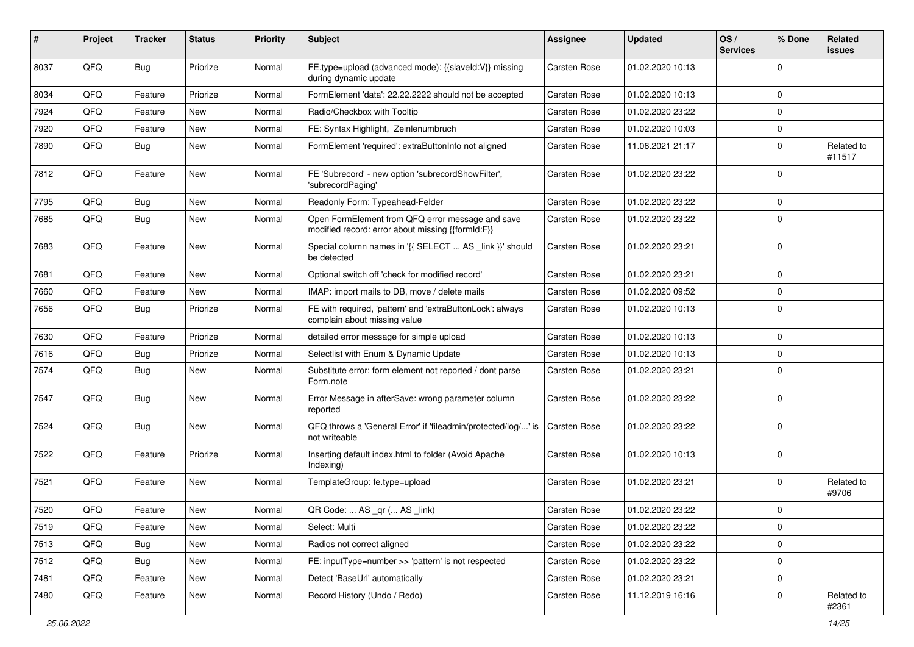| #    | Project | <b>Tracker</b> | <b>Status</b> | <b>Priority</b> | <b>Subject</b>                                                                                        | <b>Assignee</b>     | <b>Updated</b>   | OS/<br><b>Services</b> | % Done      | Related<br><b>issues</b> |
|------|---------|----------------|---------------|-----------------|-------------------------------------------------------------------------------------------------------|---------------------|------------------|------------------------|-------------|--------------------------|
| 8037 | QFQ     | <b>Bug</b>     | Priorize      | Normal          | FE.type=upload (advanced mode): {{slaveId:V}} missing<br>during dynamic update                        | Carsten Rose        | 01.02.2020 10:13 |                        | $\Omega$    |                          |
| 8034 | QFQ     | Feature        | Priorize      | Normal          | FormElement 'data': 22.22.2222 should not be accepted                                                 | Carsten Rose        | 01.02.2020 10:13 |                        | $\mathbf 0$ |                          |
| 7924 | QFQ     | Feature        | New           | Normal          | Radio/Checkbox with Tooltip                                                                           | Carsten Rose        | 01.02.2020 23:22 |                        | $\mathbf 0$ |                          |
| 7920 | QFQ     | Feature        | New           | Normal          | FE: Syntax Highlight, Zeinlenumbruch                                                                  | Carsten Rose        | 01.02.2020 10:03 |                        | 0           |                          |
| 7890 | QFQ     | Bug            | New           | Normal          | FormElement 'required': extraButtonInfo not aligned                                                   | Carsten Rose        | 11.06.2021 21:17 |                        | $\mathbf 0$ | Related to<br>#11517     |
| 7812 | QFQ     | Feature        | New           | Normal          | FE 'Subrecord' - new option 'subrecordShowFilter',<br>'subrecordPaging'                               | Carsten Rose        | 01.02.2020 23:22 |                        | $\Omega$    |                          |
| 7795 | QFQ     | <b>Bug</b>     | New           | Normal          | Readonly Form: Typeahead-Felder                                                                       | Carsten Rose        | 01.02.2020 23:22 |                        | 0           |                          |
| 7685 | QFQ     | Bug            | New           | Normal          | Open FormElement from QFQ error message and save<br>modified record: error about missing {{formId:F}} | Carsten Rose        | 01.02.2020 23:22 |                        | $\Omega$    |                          |
| 7683 | QFQ     | Feature        | New           | Normal          | Special column names in '{{ SELECT  AS _link }}' should<br>be detected                                | Carsten Rose        | 01.02.2020 23:21 |                        | $\mathbf 0$ |                          |
| 7681 | QFQ     | Feature        | New           | Normal          | Optional switch off 'check for modified record'                                                       | Carsten Rose        | 01.02.2020 23:21 |                        | $\mathbf 0$ |                          |
| 7660 | QFQ     | Feature        | New           | Normal          | IMAP: import mails to DB, move / delete mails                                                         | Carsten Rose        | 01.02.2020 09:52 |                        | $\mathbf 0$ |                          |
| 7656 | QFQ     | Bug            | Priorize      | Normal          | FE with required, 'pattern' and 'extraButtonLock': always<br>complain about missing value             | Carsten Rose        | 01.02.2020 10:13 |                        | $\Omega$    |                          |
| 7630 | QFQ     | Feature        | Priorize      | Normal          | detailed error message for simple upload                                                              | Carsten Rose        | 01.02.2020 10:13 |                        | $\mathbf 0$ |                          |
| 7616 | QFQ     | <b>Bug</b>     | Priorize      | Normal          | Selectlist with Enum & Dynamic Update                                                                 | Carsten Rose        | 01.02.2020 10:13 |                        | $\mathbf 0$ |                          |
| 7574 | QFQ     | Bug            | New           | Normal          | Substitute error: form element not reported / dont parse<br>Form.note                                 | Carsten Rose        | 01.02.2020 23:21 |                        | $\Omega$    |                          |
| 7547 | QFQ     | Bug            | New           | Normal          | Error Message in afterSave: wrong parameter column<br>reported                                        | <b>Carsten Rose</b> | 01.02.2020 23:22 |                        | $\Omega$    |                          |
| 7524 | QFQ     | Bug            | New           | Normal          | QFQ throws a 'General Error' if 'fileadmin/protected/log/' is<br>not writeable                        | Carsten Rose        | 01.02.2020 23:22 |                        | $\mathbf 0$ |                          |
| 7522 | QFQ     | Feature        | Priorize      | Normal          | Inserting default index.html to folder (Avoid Apache<br>Indexing)                                     | Carsten Rose        | 01.02.2020 10:13 |                        | $\mathbf 0$ |                          |
| 7521 | QFQ     | Feature        | New           | Normal          | TemplateGroup: fe.type=upload                                                                         | Carsten Rose        | 01.02.2020 23:21 |                        | $\mathbf 0$ | Related to<br>#9706      |
| 7520 | QFQ     | Feature        | New           | Normal          | QR Code:  AS _qr ( AS _link)                                                                          | Carsten Rose        | 01.02.2020 23:22 |                        | $\mathbf 0$ |                          |
| 7519 | QFQ     | Feature        | New           | Normal          | Select: Multi                                                                                         | Carsten Rose        | 01.02.2020 23:22 |                        | $\mathsf 0$ |                          |
| 7513 | QFQ     | Bug            | New           | Normal          | Radios not correct aligned                                                                            | Carsten Rose        | 01.02.2020 23:22 |                        | $\pmb{0}$   |                          |
| 7512 | QFQ     | Bug            | New           | Normal          | FE: inputType=number >> 'pattern' is not respected                                                    | Carsten Rose        | 01.02.2020 23:22 |                        | $\pmb{0}$   |                          |
| 7481 | QFQ     | Feature        | New           | Normal          | Detect 'BaseUrl' automatically                                                                        | Carsten Rose        | 01.02.2020 23:21 |                        | $\pmb{0}$   |                          |
| 7480 | QFQ     | Feature        | New           | Normal          | Record History (Undo / Redo)                                                                          | Carsten Rose        | 11.12.2019 16:16 |                        | $\mathbf 0$ | Related to<br>#2361      |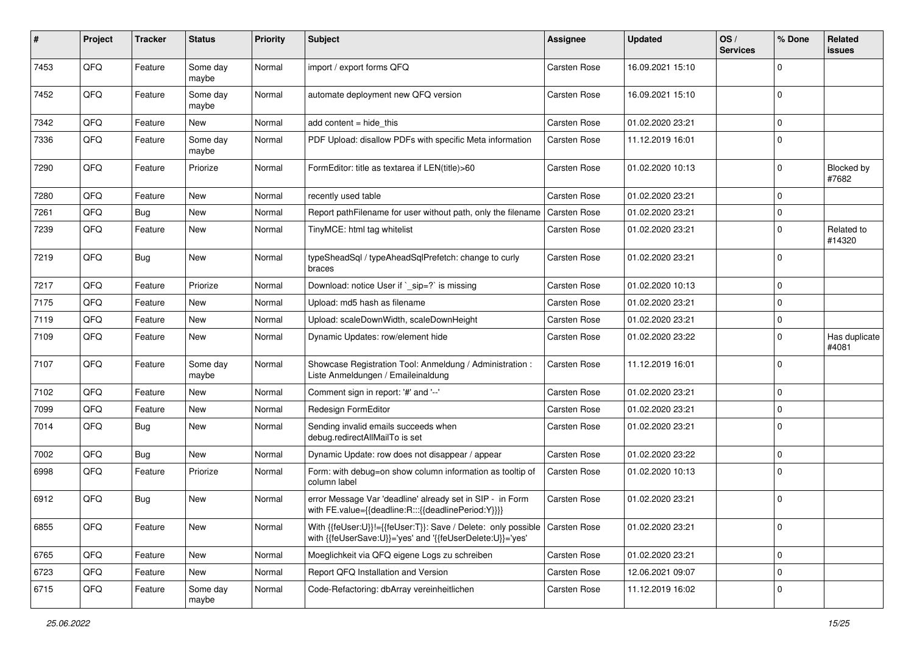| #    | Project | <b>Tracker</b> | <b>Status</b>     | <b>Priority</b> | <b>Subject</b>                                                                                                             | <b>Assignee</b> | <b>Updated</b>   | OS/<br><b>Services</b> | % Done      | Related<br><b>issues</b> |
|------|---------|----------------|-------------------|-----------------|----------------------------------------------------------------------------------------------------------------------------|-----------------|------------------|------------------------|-------------|--------------------------|
| 7453 | QFQ     | Feature        | Some day<br>maybe | Normal          | import / export forms QFQ                                                                                                  | Carsten Rose    | 16.09.2021 15:10 |                        | $\Omega$    |                          |
| 7452 | QFQ     | Feature        | Some day<br>maybe | Normal          | automate deployment new QFQ version                                                                                        | Carsten Rose    | 16.09.2021 15:10 |                        | $\mathbf 0$ |                          |
| 7342 | QFQ     | Feature        | New               | Normal          | add content $=$ hide this                                                                                                  | Carsten Rose    | 01.02.2020 23:21 |                        | $\Omega$    |                          |
| 7336 | QFQ     | Feature        | Some day<br>maybe | Normal          | PDF Upload: disallow PDFs with specific Meta information                                                                   | Carsten Rose    | 11.12.2019 16:01 |                        | $\mathbf 0$ |                          |
| 7290 | QFQ     | Feature        | Priorize          | Normal          | FormEditor: title as textarea if LEN(title)>60                                                                             | Carsten Rose    | 01.02.2020 10:13 |                        | $\Omega$    | Blocked by<br>#7682      |
| 7280 | QFQ     | Feature        | New               | Normal          | recently used table                                                                                                        | Carsten Rose    | 01.02.2020 23:21 |                        | $\mathbf 0$ |                          |
| 7261 | QFQ     | <b>Bug</b>     | New               | Normal          | Report pathFilename for user without path, only the filename                                                               | Carsten Rose    | 01.02.2020 23:21 |                        | $\mathbf 0$ |                          |
| 7239 | QFQ     | Feature        | New               | Normal          | TinyMCE: html tag whitelist                                                                                                | Carsten Rose    | 01.02.2020 23:21 |                        | $\mathbf 0$ | Related to<br>#14320     |
| 7219 | QFQ     | <b>Bug</b>     | New               | Normal          | typeSheadSql / typeAheadSqlPrefetch: change to curly<br>braces                                                             | Carsten Rose    | 01.02.2020 23:21 |                        | $\Omega$    |                          |
| 7217 | QFQ     | Feature        | Priorize          | Normal          | Download: notice User if ` sip=?` is missing                                                                               | Carsten Rose    | 01.02.2020 10:13 |                        | $\mathbf 0$ |                          |
| 7175 | QFQ     | Feature        | New               | Normal          | Upload: md5 hash as filename                                                                                               | Carsten Rose    | 01.02.2020 23:21 |                        | $\mathbf 0$ |                          |
| 7119 | QFQ     | Feature        | New               | Normal          | Upload: scaleDownWidth, scaleDownHeight                                                                                    | Carsten Rose    | 01.02.2020 23:21 |                        | $\mathbf 0$ |                          |
| 7109 | QFQ     | Feature        | New               | Normal          | Dynamic Updates: row/element hide                                                                                          | Carsten Rose    | 01.02.2020 23:22 |                        | $\mathbf 0$ | Has duplicate<br>#4081   |
| 7107 | QFQ     | Feature        | Some day<br>maybe | Normal          | Showcase Registration Tool: Anmeldung / Administration :<br>Liste Anmeldungen / Emaileinaldung                             | Carsten Rose    | 11.12.2019 16:01 |                        | $\Omega$    |                          |
| 7102 | QFQ     | Feature        | New               | Normal          | Comment sign in report: '#' and '--'                                                                                       | Carsten Rose    | 01.02.2020 23:21 |                        | $\mathbf 0$ |                          |
| 7099 | QFQ     | Feature        | New               | Normal          | Redesign FormEditor                                                                                                        | Carsten Rose    | 01.02.2020 23:21 |                        | $\mathbf 0$ |                          |
| 7014 | QFQ     | <b>Bug</b>     | New               | Normal          | Sending invalid emails succeeds when<br>debug.redirectAllMailTo is set                                                     | Carsten Rose    | 01.02.2020 23:21 |                        | $\mathbf 0$ |                          |
| 7002 | QFQ     | <b>Bug</b>     | New               | Normal          | Dynamic Update: row does not disappear / appear                                                                            | Carsten Rose    | 01.02.2020 23:22 |                        | $\mathbf 0$ |                          |
| 6998 | QFQ     | Feature        | Priorize          | Normal          | Form: with debug=on show column information as tooltip of<br>column label                                                  | Carsten Rose    | 01.02.2020 10:13 |                        | $\mathbf 0$ |                          |
| 6912 | QFQ     | <b>Bug</b>     | New               | Normal          | error Message Var 'deadline' already set in SIP - in Form<br>with FE.value={{deadline:R:::{{deadlinePeriod:Y}}}}           | Carsten Rose    | 01.02.2020 23:21 |                        | $\mathbf 0$ |                          |
| 6855 | QFQ     | Feature        | New               | Normal          | With {{feUser:U}}!={{feUser:T}}: Save / Delete: only possible<br>with {{feUserSave:U}}='yes' and '{{feUserDelete:U}}='yes' | Carsten Rose    | 01.02.2020 23:21 |                        | $\mathbf 0$ |                          |
| 6765 | QFG     | Feature        | New               | Normal          | Moeglichkeit via QFQ eigene Logs zu schreiben                                                                              | Carsten Rose    | 01.02.2020 23:21 |                        | $\mathbf 0$ |                          |
| 6723 | QFQ     | Feature        | New               | Normal          | Report QFQ Installation and Version                                                                                        | Carsten Rose    | 12.06.2021 09:07 |                        | $\mathbf 0$ |                          |
| 6715 | QFG     | Feature        | Some day<br>maybe | Normal          | Code-Refactoring: dbArray vereinheitlichen                                                                                 | Carsten Rose    | 11.12.2019 16:02 |                        | $\mathbf 0$ |                          |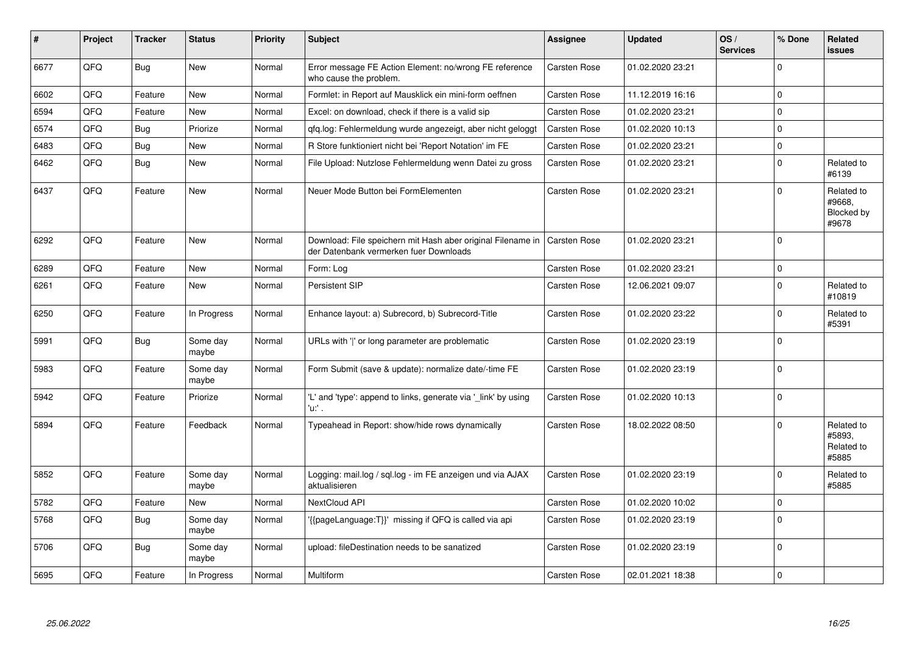| #    | Project | <b>Tracker</b> | <b>Status</b>     | <b>Priority</b> | <b>Subject</b>                                                                                        | Assignee            | <b>Updated</b>   | OS/<br><b>Services</b> | % Done   | Related<br><b>issues</b>                    |
|------|---------|----------------|-------------------|-----------------|-------------------------------------------------------------------------------------------------------|---------------------|------------------|------------------------|----------|---------------------------------------------|
| 6677 | QFQ     | <b>Bug</b>     | New               | Normal          | Error message FE Action Element: no/wrong FE reference<br>who cause the problem.                      | Carsten Rose        | 01.02.2020 23:21 |                        | $\Omega$ |                                             |
| 6602 | QFQ     | Feature        | <b>New</b>        | Normal          | Formlet: in Report auf Mausklick ein mini-form oeffnen                                                | Carsten Rose        | 11.12.2019 16:16 |                        | $\Omega$ |                                             |
| 6594 | QFQ     | Feature        | New               | Normal          | Excel: on download, check if there is a valid sip                                                     | Carsten Rose        | 01.02.2020 23:21 |                        | $\Omega$ |                                             |
| 6574 | QFQ     | Bug            | Priorize          | Normal          | gfg.log: Fehlermeldung wurde angezeigt, aber nicht geloggt                                            | <b>Carsten Rose</b> | 01.02.2020 10:13 |                        | 0        |                                             |
| 6483 | QFQ     | Bug            | <b>New</b>        | Normal          | R Store funktioniert nicht bei 'Report Notation' im FE                                                | <b>Carsten Rose</b> | 01.02.2020 23:21 |                        | $\Omega$ |                                             |
| 6462 | QFQ     | <b>Bug</b>     | <b>New</b>        | Normal          | File Upload: Nutzlose Fehlermeldung wenn Datei zu gross                                               | <b>Carsten Rose</b> | 01.02.2020 23:21 |                        | $\Omega$ | Related to<br>#6139                         |
| 6437 | QFQ     | Feature        | <b>New</b>        | Normal          | Neuer Mode Button bei FormElementen                                                                   | Carsten Rose        | 01.02.2020 23:21 |                        | $\Omega$ | Related to<br>#9668.<br>Blocked by<br>#9678 |
| 6292 | QFQ     | Feature        | <b>New</b>        | Normal          | Download: File speichern mit Hash aber original Filename in<br>der Datenbank vermerken fuer Downloads | Carsten Rose        | 01.02.2020 23:21 |                        | $\Omega$ |                                             |
| 6289 | QFQ     | Feature        | New               | Normal          | Form: Log                                                                                             | Carsten Rose        | 01.02.2020 23:21 |                        | $\Omega$ |                                             |
| 6261 | QFQ     | Feature        | <b>New</b>        | Normal          | Persistent SIP                                                                                        | Carsten Rose        | 12.06.2021 09:07 |                        | $\Omega$ | Related to<br>#10819                        |
| 6250 | QFQ     | Feature        | In Progress       | Normal          | Enhance layout: a) Subrecord, b) Subrecord-Title                                                      | Carsten Rose        | 01.02.2020 23:22 |                        | $\Omega$ | Related to<br>#5391                         |
| 5991 | QFQ     | <b>Bug</b>     | Some day<br>maybe | Normal          | URLs with ' ' or long parameter are problematic                                                       | Carsten Rose        | 01.02.2020 23:19 |                        | $\Omega$ |                                             |
| 5983 | QFQ     | Feature        | Some day<br>maybe | Normal          | Form Submit (save & update): normalize date/-time FE                                                  | Carsten Rose        | 01.02.2020 23:19 |                        | $\Omega$ |                                             |
| 5942 | QFQ     | Feature        | Priorize          | Normal          | 'L' and 'type': append to links, generate via '_link' by using<br>'u:' .                              | <b>Carsten Rose</b> | 01.02.2020 10:13 |                        | $\Omega$ |                                             |
| 5894 | QFQ     | Feature        | Feedback          | Normal          | Typeahead in Report: show/hide rows dynamically                                                       | Carsten Rose        | 18.02.2022 08:50 |                        | $\Omega$ | Related to<br>#5893.<br>Related to<br>#5885 |
| 5852 | QFQ     | Feature        | Some day<br>maybe | Normal          | Logging: mail.log / sql.log - im FE anzeigen und via AJAX<br>aktualisieren                            | <b>Carsten Rose</b> | 01.02.2020 23:19 |                        | $\Omega$ | Related to<br>#5885                         |
| 5782 | QFQ     | Feature        | New               | Normal          | NextCloud API                                                                                         | Carsten Rose        | 01.02.2020 10:02 |                        | $\Omega$ |                                             |
| 5768 | QFQ     | Bug            | Some day<br>maybe | Normal          | {{pageLanguage:T}}' missing if QFQ is called via api                                                  | Carsten Rose        | 01.02.2020 23:19 |                        | $\Omega$ |                                             |
| 5706 | QFQ     | Bug            | Some day<br>maybe | Normal          | upload: fileDestination needs to be sanatized                                                         | <b>Carsten Rose</b> | 01.02.2020 23:19 |                        | $\Omega$ |                                             |
| 5695 | QFQ     | Feature        | In Progress       | Normal          | Multiform                                                                                             | <b>Carsten Rose</b> | 02.01.2021 18:38 |                        | $\Omega$ |                                             |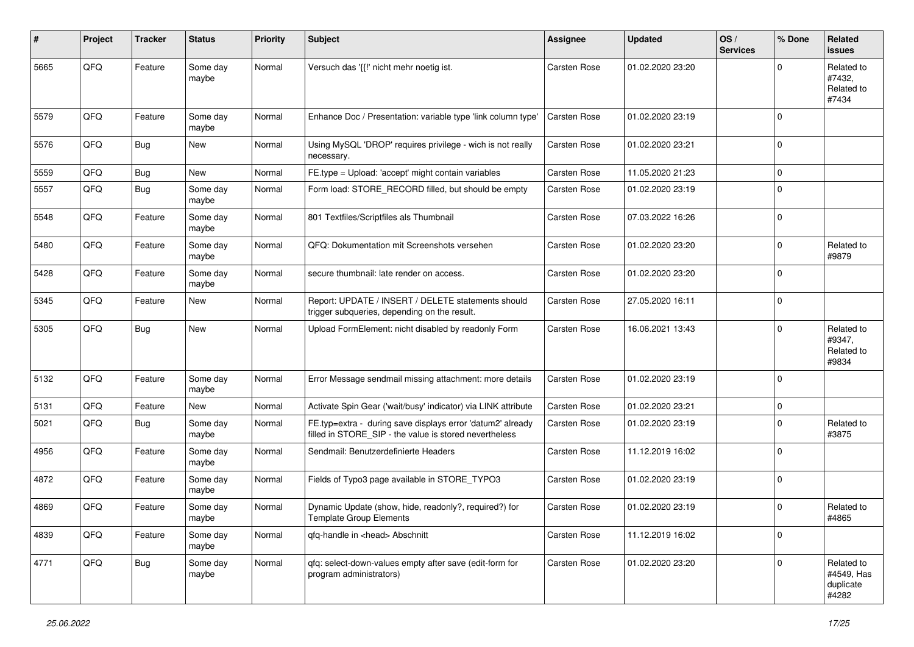| #    | Project | <b>Tracker</b> | <b>Status</b>     | <b>Priority</b> | <b>Subject</b>                                                                                                       | <b>Assignee</b>     | <b>Updated</b>   | OS/<br><b>Services</b> | % Done      | Related<br>issues                              |
|------|---------|----------------|-------------------|-----------------|----------------------------------------------------------------------------------------------------------------------|---------------------|------------------|------------------------|-------------|------------------------------------------------|
| 5665 | QFQ     | Feature        | Some day<br>maybe | Normal          | Versuch das '{{!' nicht mehr noetig ist.                                                                             | <b>Carsten Rose</b> | 01.02.2020 23:20 |                        | $\Omega$    | Related to<br>#7432,<br>Related to<br>#7434    |
| 5579 | QFQ     | Feature        | Some day<br>maybe | Normal          | Enhance Doc / Presentation: variable type 'link column type'                                                         | Carsten Rose        | 01.02.2020 23:19 |                        | $\Omega$    |                                                |
| 5576 | QFQ     | <b>Bug</b>     | New               | Normal          | Using MySQL 'DROP' requires privilege - wich is not really<br>necessary.                                             | <b>Carsten Rose</b> | 01.02.2020 23:21 |                        | $\Omega$    |                                                |
| 5559 | QFQ     | Bug            | New               | Normal          | FE.type = Upload: 'accept' might contain variables                                                                   | <b>Carsten Rose</b> | 11.05.2020 21:23 |                        | $\mathbf 0$ |                                                |
| 5557 | QFQ     | Bug            | Some day<br>maybe | Normal          | Form load: STORE RECORD filled, but should be empty                                                                  | <b>Carsten Rose</b> | 01.02.2020 23:19 |                        | 0           |                                                |
| 5548 | QFQ     | Feature        | Some day<br>maybe | Normal          | 801 Textfiles/Scriptfiles als Thumbnail                                                                              | Carsten Rose        | 07.03.2022 16:26 |                        | $\mathbf 0$ |                                                |
| 5480 | QFQ     | Feature        | Some day<br>maybe | Normal          | QFQ: Dokumentation mit Screenshots versehen                                                                          | Carsten Rose        | 01.02.2020 23:20 |                        | $\mathbf 0$ | Related to<br>#9879                            |
| 5428 | QFQ     | Feature        | Some day<br>maybe | Normal          | secure thumbnail: late render on access.                                                                             | Carsten Rose        | 01.02.2020 23:20 |                        | $\Omega$    |                                                |
| 5345 | QFQ     | Feature        | New               | Normal          | Report: UPDATE / INSERT / DELETE statements should<br>trigger subqueries, depending on the result.                   | <b>Carsten Rose</b> | 27.05.2020 16:11 |                        | $\Omega$    |                                                |
| 5305 | QFQ     | <b>Bug</b>     | New               | Normal          | Upload FormElement: nicht disabled by readonly Form                                                                  | Carsten Rose        | 16.06.2021 13:43 |                        | $\Omega$    | Related to<br>#9347,<br>Related to<br>#9834    |
| 5132 | QFQ     | Feature        | Some day<br>maybe | Normal          | Error Message sendmail missing attachment: more details                                                              | Carsten Rose        | 01.02.2020 23:19 |                        | $\Omega$    |                                                |
| 5131 | QFQ     | Feature        | New               | Normal          | Activate Spin Gear ('wait/busy' indicator) via LINK attribute                                                        | <b>Carsten Rose</b> | 01.02.2020 23:21 |                        | $\mathbf 0$ |                                                |
| 5021 | QFQ     | <b>Bug</b>     | Some day<br>maybe | Normal          | FE.typ=extra - during save displays error 'datum2' already<br>filled in STORE_SIP - the value is stored nevertheless | <b>Carsten Rose</b> | 01.02.2020 23:19 |                        | $\Omega$    | Related to<br>#3875                            |
| 4956 | QFQ     | Feature        | Some day<br>maybe | Normal          | Sendmail: Benutzerdefinierte Headers                                                                                 | <b>Carsten Rose</b> | 11.12.2019 16:02 |                        | $\Omega$    |                                                |
| 4872 | QFQ     | Feature        | Some day<br>maybe | Normal          | Fields of Typo3 page available in STORE_TYPO3                                                                        | Carsten Rose        | 01.02.2020 23:19 |                        | $\Omega$    |                                                |
| 4869 | QFQ     | Feature        | Some day<br>maybe | Normal          | Dynamic Update (show, hide, readonly?, required?) for<br><b>Template Group Elements</b>                              | Carsten Rose        | 01.02.2020 23:19 |                        | $\Omega$    | Related to<br>#4865                            |
| 4839 | QFQ     | Feature        | Some day<br>maybe | Normal          | qfq-handle in <head> Abschnitt</head>                                                                                | Carsten Rose        | 11.12.2019 16:02 |                        | 0           |                                                |
| 4771 | QFQ     | <b>Bug</b>     | Some day<br>maybe | Normal          | qfq: select-down-values empty after save (edit-form for<br>program administrators)                                   | Carsten Rose        | 01.02.2020 23:20 |                        | 0           | Related to<br>#4549, Has<br>duplicate<br>#4282 |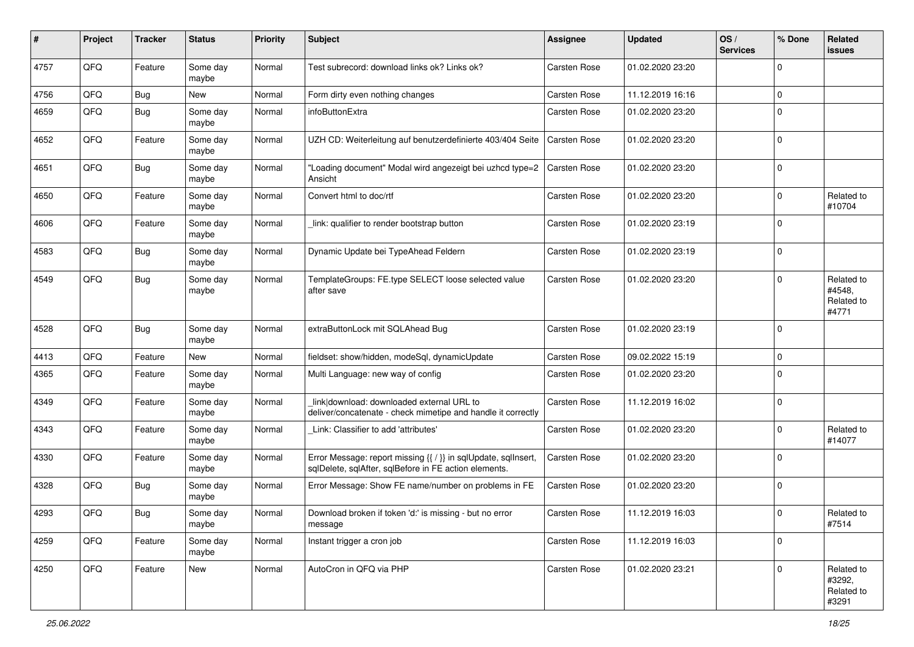| #    | Project | <b>Tracker</b> | <b>Status</b>     | <b>Priority</b> | <b>Subject</b>                                                                                                          | <b>Assignee</b>     | <b>Updated</b>   | OS/<br><b>Services</b> | % Done      | Related<br>issues                           |
|------|---------|----------------|-------------------|-----------------|-------------------------------------------------------------------------------------------------------------------------|---------------------|------------------|------------------------|-------------|---------------------------------------------|
| 4757 | QFQ     | Feature        | Some day<br>maybe | Normal          | Test subrecord: download links ok? Links ok?                                                                            | <b>Carsten Rose</b> | 01.02.2020 23:20 |                        | $\Omega$    |                                             |
| 4756 | QFQ     | <b>Bug</b>     | New               | Normal          | Form dirty even nothing changes                                                                                         | <b>Carsten Rose</b> | 11.12.2019 16:16 |                        | $\mathbf 0$ |                                             |
| 4659 | QFQ     | <b>Bug</b>     | Some day<br>maybe | Normal          | infoButtonExtra                                                                                                         | Carsten Rose        | 01.02.2020 23:20 |                        | $\mathbf 0$ |                                             |
| 4652 | QFQ     | Feature        | Some day<br>maybe | Normal          | UZH CD: Weiterleitung auf benutzerdefinierte 403/404 Seite                                                              | Carsten Rose        | 01.02.2020 23:20 |                        | $\Omega$    |                                             |
| 4651 | QFQ     | <b>Bug</b>     | Some day<br>maybe | Normal          | "Loading document" Modal wird angezeigt bei uzhcd type=2<br>Ansicht                                                     | Carsten Rose        | 01.02.2020 23:20 |                        | $\Omega$    |                                             |
| 4650 | QFQ     | Feature        | Some day<br>maybe | Normal          | Convert html to doc/rtf                                                                                                 | <b>Carsten Rose</b> | 01.02.2020 23:20 |                        | $\mathbf 0$ | Related to<br>#10704                        |
| 4606 | QFQ     | Feature        | Some day<br>maybe | Normal          | link: qualifier to render bootstrap button                                                                              | <b>Carsten Rose</b> | 01.02.2020 23:19 |                        | $\mathbf 0$ |                                             |
| 4583 | QFQ     | Bug            | Some day<br>maybe | Normal          | Dynamic Update bei TypeAhead Feldern                                                                                    | <b>Carsten Rose</b> | 01.02.2020 23:19 |                        | $\mathbf 0$ |                                             |
| 4549 | QFQ     | <b>Bug</b>     | Some day<br>maybe | Normal          | TemplateGroups: FE.type SELECT loose selected value<br>after save                                                       | <b>Carsten Rose</b> | 01.02.2020 23:20 |                        | $\Omega$    | Related to<br>#4548,<br>Related to<br>#4771 |
| 4528 | QFQ     | <b>Bug</b>     | Some day<br>maybe | Normal          | extraButtonLock mit SQLAhead Bug                                                                                        | <b>Carsten Rose</b> | 01.02.2020 23:19 |                        | $\Omega$    |                                             |
| 4413 | QFQ     | Feature        | New               | Normal          | fieldset: show/hidden, modeSql, dynamicUpdate                                                                           | <b>Carsten Rose</b> | 09.02.2022 15:19 |                        | $\Omega$    |                                             |
| 4365 | QFQ     | Feature        | Some day<br>maybe | Normal          | Multi Language: new way of config                                                                                       | Carsten Rose        | 01.02.2020 23:20 |                        | $\Omega$    |                                             |
| 4349 | QFQ     | Feature        | Some day<br>maybe | Normal          | link download: downloaded external URL to<br>deliver/concatenate - check mimetipe and handle it correctly               | Carsten Rose        | 11.12.2019 16:02 |                        | $\mathbf 0$ |                                             |
| 4343 | QFQ     | Feature        | Some day<br>maybe | Normal          | Link: Classifier to add 'attributes'                                                                                    | Carsten Rose        | 01.02.2020 23:20 |                        | $\mathbf 0$ | Related to<br>#14077                        |
| 4330 | QFQ     | Feature        | Some day<br>maybe | Normal          | Error Message: report missing {{ / }} in sqlUpdate, sqlInsert,<br>sqlDelete, sqlAfter, sqlBefore in FE action elements. | Carsten Rose        | 01.02.2020 23:20 |                        | 0           |                                             |
| 4328 | QFQ     | <b>Bug</b>     | Some day<br>maybe | Normal          | Error Message: Show FE name/number on problems in FE                                                                    | <b>Carsten Rose</b> | 01.02.2020 23:20 |                        | $\mathbf 0$ |                                             |
| 4293 | QFQ     | Bug            | Some day<br>maybe | Normal          | Download broken if token 'd:' is missing - but no error<br>message                                                      | <b>Carsten Rose</b> | 11.12.2019 16:03 |                        | $\mathbf 0$ | Related to<br>#7514                         |
| 4259 | QFQ     | Feature        | Some day<br>maybe | Normal          | Instant trigger a cron job                                                                                              | Carsten Rose        | 11.12.2019 16:03 |                        | 0           |                                             |
| 4250 | QFQ     | Feature        | New               | Normal          | AutoCron in QFQ via PHP                                                                                                 | Carsten Rose        | 01.02.2020 23:21 |                        | 0           | Related to<br>#3292,<br>Related to<br>#3291 |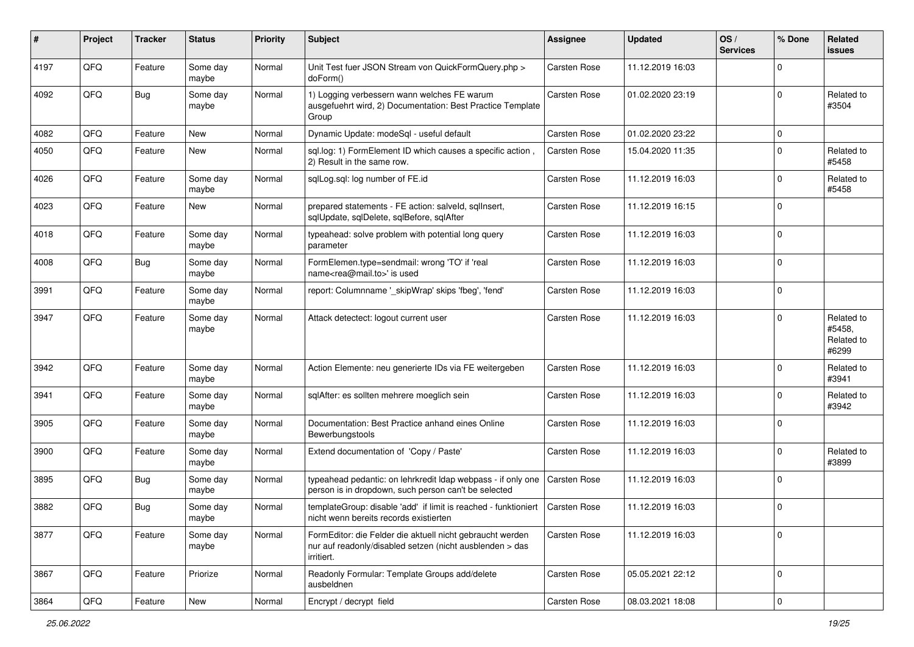| #    | Project | <b>Tracker</b> | <b>Status</b>     | <b>Priority</b> | <b>Subject</b>                                                                                                                      | <b>Assignee</b>     | <b>Updated</b>   | OS/<br><b>Services</b> | % Done      | <b>Related</b><br>issues                    |
|------|---------|----------------|-------------------|-----------------|-------------------------------------------------------------------------------------------------------------------------------------|---------------------|------------------|------------------------|-------------|---------------------------------------------|
| 4197 | QFQ     | Feature        | Some day<br>maybe | Normal          | Unit Test fuer JSON Stream von QuickFormQuery.php ><br>doForm()                                                                     | <b>Carsten Rose</b> | 11.12.2019 16:03 |                        | $\mathbf 0$ |                                             |
| 4092 | QFQ     | Bug            | Some day<br>maybe | Normal          | 1) Logging verbessern wann welches FE warum<br>ausgefuehrt wird, 2) Documentation: Best Practice Template<br>Group                  | <b>Carsten Rose</b> | 01.02.2020 23:19 |                        | $\Omega$    | Related to<br>#3504                         |
| 4082 | QFQ     | Feature        | <b>New</b>        | Normal          | Dynamic Update: modeSql - useful default                                                                                            | Carsten Rose        | 01.02.2020 23:22 |                        | $\mathbf 0$ |                                             |
| 4050 | QFQ     | Feature        | New               | Normal          | sql.log: 1) FormElement ID which causes a specific action<br>2) Result in the same row.                                             | Carsten Rose        | 15.04.2020 11:35 |                        | $\Omega$    | Related to<br>#5458                         |
| 4026 | QFQ     | Feature        | Some day<br>maybe | Normal          | sqlLog.sql: log number of FE.id                                                                                                     | Carsten Rose        | 11.12.2019 16:03 |                        | $\Omega$    | Related to<br>#5458                         |
| 4023 | QFQ     | Feature        | New               | Normal          | prepared statements - FE action: salveld, sqlInsert,<br>sqlUpdate, sqlDelete, sqlBefore, sqlAfter                                   | Carsten Rose        | 11.12.2019 16:15 |                        | $\Omega$    |                                             |
| 4018 | QFQ     | Feature        | Some day<br>maybe | Normal          | typeahead: solve problem with potential long query<br>parameter                                                                     | Carsten Rose        | 11.12.2019 16:03 |                        | $\Omega$    |                                             |
| 4008 | QFQ     | <b>Bug</b>     | Some day<br>maybe | Normal          | FormElemen.type=sendmail: wrong 'TO' if 'real<br>name <rea@mail.to>' is used</rea@mail.to>                                          | <b>Carsten Rose</b> | 11.12.2019 16:03 |                        | $\Omega$    |                                             |
| 3991 | QFQ     | Feature        | Some day<br>maybe | Normal          | report: Columnname ' skipWrap' skips 'fbeg', 'fend'                                                                                 | <b>Carsten Rose</b> | 11.12.2019 16:03 |                        | $\mathbf 0$ |                                             |
| 3947 | QFQ     | Feature        | Some day<br>maybe | Normal          | Attack detectect: logout current user                                                                                               | Carsten Rose        | 11.12.2019 16:03 |                        | $\Omega$    | Related to<br>#5458,<br>Related to<br>#6299 |
| 3942 | QFQ     | Feature        | Some day<br>maybe | Normal          | Action Elemente: neu generierte IDs via FE weitergeben                                                                              | <b>Carsten Rose</b> | 11.12.2019 16:03 |                        | $\Omega$    | Related to<br>#3941                         |
| 3941 | QFQ     | Feature        | Some day<br>maybe | Normal          | sqlAfter: es sollten mehrere moeglich sein                                                                                          | Carsten Rose        | 11.12.2019 16:03 |                        | $\Omega$    | Related to<br>#3942                         |
| 3905 | QFQ     | Feature        | Some day<br>maybe | Normal          | Documentation: Best Practice anhand eines Online<br>Bewerbungstools                                                                 | Carsten Rose        | 11.12.2019 16:03 |                        | $\Omega$    |                                             |
| 3900 | QFQ     | Feature        | Some day<br>maybe | Normal          | Extend documentation of 'Copy / Paste'                                                                                              | Carsten Rose        | 11.12.2019 16:03 |                        | $\Omega$    | Related to<br>#3899                         |
| 3895 | QFQ     | <b>Bug</b>     | Some day<br>maybe | Normal          | typeahead pedantic: on lehrkredit Idap webpass - if only one<br>person is in dropdown, such person can't be selected                | Carsten Rose        | 11.12.2019 16:03 |                        | $\Omega$    |                                             |
| 3882 | QFQ     | <b>Bug</b>     | Some day<br>maybe | Normal          | templateGroup: disable 'add' if limit is reached - funktioniert<br>nicht wenn bereits records existierten                           | <b>Carsten Rose</b> | 11.12.2019 16:03 |                        | $\Omega$    |                                             |
| 3877 | QFQ     | Feature        | Some day<br>maybe | Normal          | FormEditor: die Felder die aktuell nicht gebraucht werden<br>nur auf readonly/disabled setzen (nicht ausblenden > das<br>irritiert. | Carsten Rose        | 11.12.2019 16:03 |                        | $\mathbf 0$ |                                             |
| 3867 | QFQ     | Feature        | Priorize          | Normal          | Readonly Formular: Template Groups add/delete<br>ausbeldnen                                                                         | Carsten Rose        | 05.05.2021 22:12 |                        | 0           |                                             |
| 3864 | QFG     | Feature        | New               | Normal          | Encrypt / decrypt field                                                                                                             | Carsten Rose        | 08.03.2021 18:08 |                        | $\pmb{0}$   |                                             |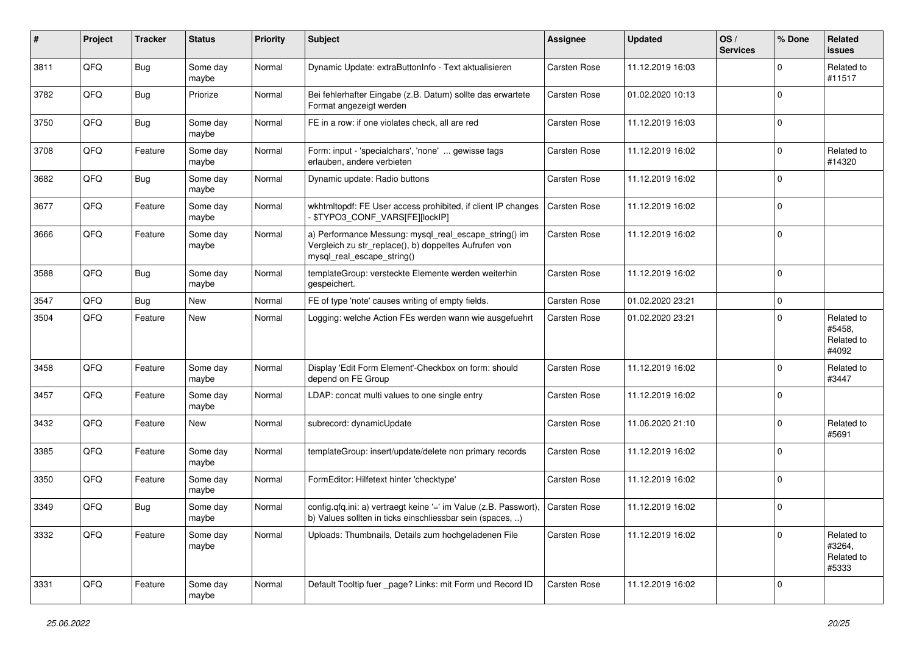| #    | Project | <b>Tracker</b> | <b>Status</b>     | <b>Priority</b> | <b>Subject</b>                                                                                                                               | <b>Assignee</b>     | <b>Updated</b>   | OS/<br><b>Services</b> | % Done      | <b>Related</b><br>issues                    |
|------|---------|----------------|-------------------|-----------------|----------------------------------------------------------------------------------------------------------------------------------------------|---------------------|------------------|------------------------|-------------|---------------------------------------------|
| 3811 | QFQ     | Bug            | Some day<br>maybe | Normal          | Dynamic Update: extraButtonInfo - Text aktualisieren                                                                                         | Carsten Rose        | 11.12.2019 16:03 |                        | $\mathbf 0$ | Related to<br>#11517                        |
| 3782 | QFQ     | <b>Bug</b>     | Priorize          | Normal          | Bei fehlerhafter Eingabe (z.B. Datum) sollte das erwartete<br>Format angezeigt werden                                                        | Carsten Rose        | 01.02.2020 10:13 |                        | $\Omega$    |                                             |
| 3750 | QFQ     | Bug            | Some day<br>maybe | Normal          | FE in a row: if one violates check, all are red                                                                                              | Carsten Rose        | 11.12.2019 16:03 |                        | $\Omega$    |                                             |
| 3708 | QFQ     | Feature        | Some day<br>maybe | Normal          | Form: input - 'specialchars', 'none'  gewisse tags<br>erlauben, andere verbieten                                                             | Carsten Rose        | 11.12.2019 16:02 |                        | $\mathbf 0$ | Related to<br>#14320                        |
| 3682 | QFQ     | <b>Bug</b>     | Some day<br>maybe | Normal          | Dynamic update: Radio buttons                                                                                                                | Carsten Rose        | 11.12.2019 16:02 |                        | $\Omega$    |                                             |
| 3677 | QFQ     | Feature        | Some day<br>maybe | Normal          | wkhtmltopdf: FE User access prohibited, if client IP changes<br>\$TYPO3_CONF_VARS[FE][lockIP]                                                | Carsten Rose        | 11.12.2019 16:02 |                        | $\Omega$    |                                             |
| 3666 | QFQ     | Feature        | Some day<br>maybe | Normal          | a) Performance Messung: mysql_real_escape_string() im<br>Vergleich zu str_replace(), b) doppeltes Aufrufen von<br>mysql_real_escape_string() | <b>Carsten Rose</b> | 11.12.2019 16:02 |                        | $\Omega$    |                                             |
| 3588 | QFQ     | <b>Bug</b>     | Some day<br>maybe | Normal          | templateGroup: versteckte Elemente werden weiterhin<br>gespeichert.                                                                          | Carsten Rose        | 11.12.2019 16:02 |                        | $\Omega$    |                                             |
| 3547 | QFQ     | Bug            | New               | Normal          | FE of type 'note' causes writing of empty fields.                                                                                            | <b>Carsten Rose</b> | 01.02.2020 23:21 |                        | $\mathbf 0$ |                                             |
| 3504 | QFQ     | Feature        | New               | Normal          | Logging: welche Action FEs werden wann wie ausgefuehrt                                                                                       | <b>Carsten Rose</b> | 01.02.2020 23:21 |                        | $\Omega$    | Related to<br>#5458,<br>Related to<br>#4092 |
| 3458 | QFQ     | Feature        | Some day<br>maybe | Normal          | Display 'Edit Form Element'-Checkbox on form: should<br>depend on FE Group                                                                   | <b>Carsten Rose</b> | 11.12.2019 16:02 |                        | $\Omega$    | Related to<br>#3447                         |
| 3457 | QFQ     | Feature        | Some day<br>maybe | Normal          | LDAP: concat multi values to one single entry                                                                                                | Carsten Rose        | 11.12.2019 16:02 |                        | $\Omega$    |                                             |
| 3432 | QFQ     | Feature        | New               | Normal          | subrecord: dynamicUpdate                                                                                                                     | Carsten Rose        | 11.06.2020 21:10 |                        | $\mathbf 0$ | Related to<br>#5691                         |
| 3385 | QFQ     | Feature        | Some day<br>maybe | Normal          | templateGroup: insert/update/delete non primary records                                                                                      | Carsten Rose        | 11.12.2019 16:02 |                        | $\Omega$    |                                             |
| 3350 | QFQ     | Feature        | Some day<br>maybe | Normal          | FormEditor: Hilfetext hinter 'checktype'                                                                                                     | <b>Carsten Rose</b> | 11.12.2019 16:02 |                        | $\mathbf 0$ |                                             |
| 3349 | QFQ     | <b>Bug</b>     | Some day<br>maybe | Normal          | config.qfq.ini: a) vertraegt keine '=' im Value (z.B. Passwort),<br>b) Values sollten in ticks einschliessbar sein (spaces, )                | <b>Carsten Rose</b> | 11.12.2019 16:02 |                        | $\mathbf 0$ |                                             |
| 3332 | QFG     | Feature        | Some day<br>maybe | Normal          | Uploads: Thumbnails, Details zum hochgeladenen File                                                                                          | Carsten Rose        | 11.12.2019 16:02 |                        | $\mathbf 0$ | Related to<br>#3264,<br>Related to<br>#5333 |
| 3331 | QFQ     | Feature        | Some day<br>maybe | Normal          | Default Tooltip fuer _page? Links: mit Form und Record ID                                                                                    | Carsten Rose        | 11.12.2019 16:02 |                        | 0           |                                             |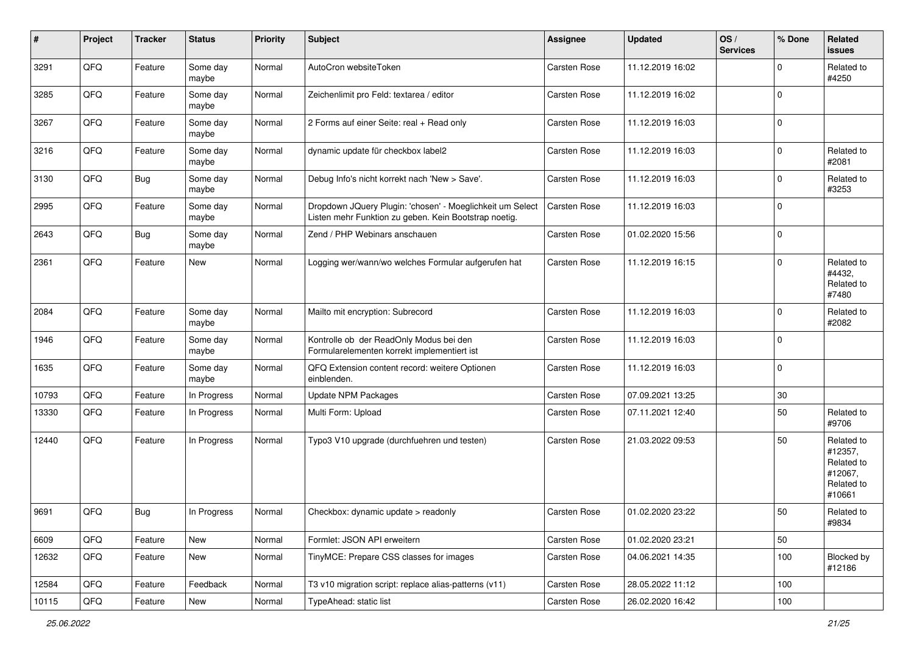| $\vert$ # | Project | <b>Tracker</b> | <b>Status</b>     | <b>Priority</b> | <b>Subject</b>                                                                                                     | <b>Assignee</b>     | <b>Updated</b>   | OS/<br><b>Services</b> | % Done      | <b>Related</b><br>issues                                               |
|-----------|---------|----------------|-------------------|-----------------|--------------------------------------------------------------------------------------------------------------------|---------------------|------------------|------------------------|-------------|------------------------------------------------------------------------|
| 3291      | QFQ     | Feature        | Some day<br>maybe | Normal          | AutoCron websiteToken                                                                                              | Carsten Rose        | 11.12.2019 16:02 |                        | $\Omega$    | Related to<br>#4250                                                    |
| 3285      | QFQ     | Feature        | Some day<br>maybe | Normal          | Zeichenlimit pro Feld: textarea / editor                                                                           | <b>Carsten Rose</b> | 11.12.2019 16:02 |                        | $\mathbf 0$ |                                                                        |
| 3267      | QFQ     | Feature        | Some day<br>maybe | Normal          | 2 Forms auf einer Seite: real + Read only                                                                          | Carsten Rose        | 11.12.2019 16:03 |                        | $\Omega$    |                                                                        |
| 3216      | QFQ     | Feature        | Some day<br>maybe | Normal          | dynamic update für checkbox label2                                                                                 | Carsten Rose        | 11.12.2019 16:03 |                        | 0           | Related to<br>#2081                                                    |
| 3130      | QFQ     | <b>Bug</b>     | Some day<br>maybe | Normal          | Debug Info's nicht korrekt nach 'New > Save'.                                                                      | Carsten Rose        | 11.12.2019 16:03 |                        | $\Omega$    | Related to<br>#3253                                                    |
| 2995      | QFQ     | Feature        | Some day<br>maybe | Normal          | Dropdown JQuery Plugin: 'chosen' - Moeglichkeit um Select<br>Listen mehr Funktion zu geben. Kein Bootstrap noetig. | <b>Carsten Rose</b> | 11.12.2019 16:03 |                        | $\Omega$    |                                                                        |
| 2643      | QFQ     | <b>Bug</b>     | Some day<br>maybe | Normal          | Zend / PHP Webinars anschauen                                                                                      | Carsten Rose        | 01.02.2020 15:56 |                        | $\mathbf 0$ |                                                                        |
| 2361      | QFQ     | Feature        | New               | Normal          | Logging wer/wann/wo welches Formular aufgerufen hat                                                                | <b>Carsten Rose</b> | 11.12.2019 16:15 |                        | $\Omega$    | Related to<br>#4432,<br>Related to<br>#7480                            |
| 2084      | QFQ     | Feature        | Some day<br>maybe | Normal          | Mailto mit encryption: Subrecord                                                                                   | Carsten Rose        | 11.12.2019 16:03 |                        | $\Omega$    | Related to<br>#2082                                                    |
| 1946      | QFQ     | Feature        | Some day<br>maybe | Normal          | Kontrolle ob der ReadOnly Modus bei den<br>Formularelementen korrekt implementiert ist                             | Carsten Rose        | 11.12.2019 16:03 |                        | $\mathbf 0$ |                                                                        |
| 1635      | QFQ     | Feature        | Some day<br>maybe | Normal          | QFQ Extension content record: weitere Optionen<br>einblenden.                                                      | Carsten Rose        | 11.12.2019 16:03 |                        | $\mathbf 0$ |                                                                        |
| 10793     | QFQ     | Feature        | In Progress       | Normal          | <b>Update NPM Packages</b>                                                                                         | Carsten Rose        | 07.09.2021 13:25 |                        | $30\,$      |                                                                        |
| 13330     | QFQ     | Feature        | In Progress       | Normal          | Multi Form: Upload                                                                                                 | <b>Carsten Rose</b> | 07.11.2021 12:40 |                        | 50          | Related to<br>#9706                                                    |
| 12440     | QFQ     | Feature        | In Progress       | Normal          | Typo3 V10 upgrade (durchfuehren und testen)                                                                        | Carsten Rose        | 21.03.2022 09:53 |                        | 50          | Related to<br>#12357,<br>Related to<br>#12067,<br>Related to<br>#10661 |
| 9691      | QFQ     | Bug            | In Progress       | Normal          | Checkbox: dynamic update > readonly                                                                                | <b>Carsten Rose</b> | 01.02.2020 23:22 |                        | 50          | Related to<br>#9834                                                    |
| 6609      | QFG     | Feature        | New               | Normal          | Formlet: JSON API erweitern                                                                                        | Carsten Rose        | 01.02.2020 23:21 |                        | 50          |                                                                        |
| 12632     | QFQ     | Feature        | New               | Normal          | TinyMCE: Prepare CSS classes for images                                                                            | Carsten Rose        | 04.06.2021 14:35 |                        | 100         | Blocked by<br>#12186                                                   |
| 12584     | QFQ     | Feature        | Feedback          | Normal          | T3 v10 migration script: replace alias-patterns (v11)                                                              | Carsten Rose        | 28.05.2022 11:12 |                        | 100         |                                                                        |
| 10115     | QFQ     | Feature        | New               | Normal          | TypeAhead: static list                                                                                             | Carsten Rose        | 26.02.2020 16:42 |                        | 100         |                                                                        |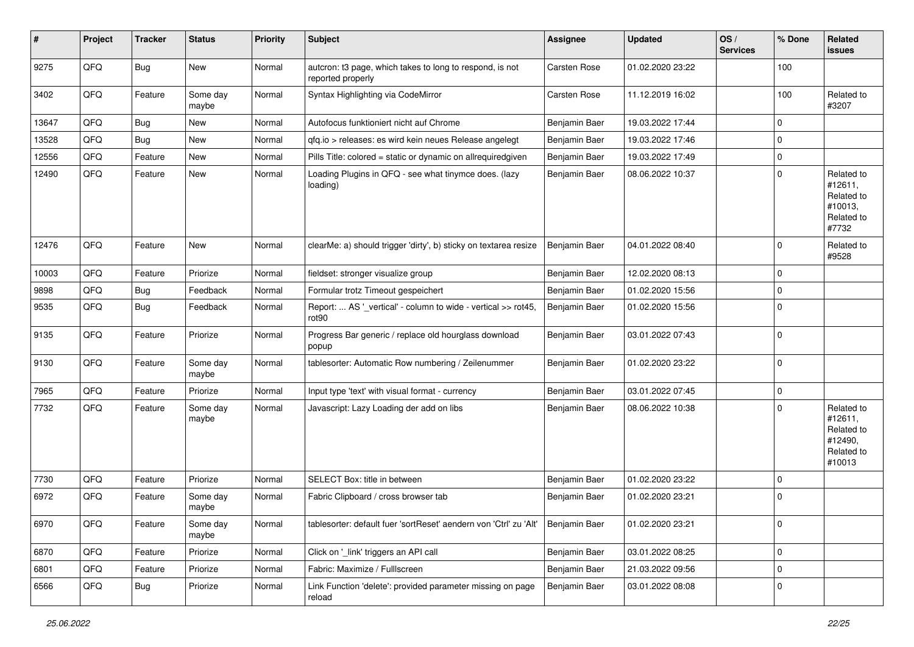| #     | Project | <b>Tracker</b> | <b>Status</b>     | <b>Priority</b> | <b>Subject</b>                                                                | <b>Assignee</b> | <b>Updated</b>   | OS/<br><b>Services</b> | % Done      | Related<br>issues                                                      |
|-------|---------|----------------|-------------------|-----------------|-------------------------------------------------------------------------------|-----------------|------------------|------------------------|-------------|------------------------------------------------------------------------|
| 9275  | QFQ     | <b>Bug</b>     | New               | Normal          | autcron: t3 page, which takes to long to respond, is not<br>reported properly | Carsten Rose    | 01.02.2020 23:22 |                        | 100         |                                                                        |
| 3402  | QFQ     | Feature        | Some day<br>maybe | Normal          | Syntax Highlighting via CodeMirror                                            | Carsten Rose    | 11.12.2019 16:02 |                        | 100         | Related to<br>#3207                                                    |
| 13647 | QFQ     | <b>Bug</b>     | New               | Normal          | Autofocus funktioniert nicht auf Chrome                                       | Benjamin Baer   | 19.03.2022 17:44 |                        | $\Omega$    |                                                                        |
| 13528 | QFQ     | Bug            | New               | Normal          | qfq.io > releases: es wird kein neues Release angelegt                        | Benjamin Baer   | 19.03.2022 17:46 |                        | $\Omega$    |                                                                        |
| 12556 | QFQ     | Feature        | New               | Normal          | Pills Title: colored = static or dynamic on allrequiredgiven                  | Benjamin Baer   | 19.03.2022 17:49 |                        | $\mathbf 0$ |                                                                        |
| 12490 | QFQ     | Feature        | New               | Normal          | Loading Plugins in QFQ - see what tinymce does. (lazy<br>loading)             | Benjamin Baer   | 08.06.2022 10:37 |                        | $\Omega$    | Related to<br>#12611,<br>Related to<br>#10013,<br>Related to<br>#7732  |
| 12476 | QFQ     | Feature        | New               | Normal          | clearMe: a) should trigger 'dirty', b) sticky on textarea resize              | Benjamin Baer   | 04.01.2022 08:40 |                        | $\Omega$    | Related to<br>#9528                                                    |
| 10003 | QFQ     | Feature        | Priorize          | Normal          | fieldset: stronger visualize group                                            | Benjamin Baer   | 12.02.2020 08:13 |                        | $\Omega$    |                                                                        |
| 9898  | QFQ     | Bug            | Feedback          | Normal          | Formular trotz Timeout gespeichert                                            | Benjamin Baer   | 01.02.2020 15:56 |                        | $\Omega$    |                                                                        |
| 9535  | QFQ     | <b>Bug</b>     | Feedback          | Normal          | Report:  AS '_vertical' - column to wide - vertical >> rot45,<br>rot90        | Benjamin Baer   | 01.02.2020 15:56 |                        | $\Omega$    |                                                                        |
| 9135  | QFQ     | Feature        | Priorize          | Normal          | Progress Bar generic / replace old hourglass download<br>popup                | Benjamin Baer   | 03.01.2022 07:43 |                        | $\Omega$    |                                                                        |
| 9130  | QFQ     | Feature        | Some day<br>maybe | Normal          | tablesorter: Automatic Row numbering / Zeilenummer                            | Benjamin Baer   | 01.02.2020 23:22 |                        | $\Omega$    |                                                                        |
| 7965  | QFQ     | Feature        | Priorize          | Normal          | Input type 'text' with visual format - currency                               | Benjamin Baer   | 03.01.2022 07:45 |                        | $\mathbf 0$ |                                                                        |
| 7732  | QFQ     | Feature        | Some day<br>maybe | Normal          | Javascript: Lazy Loading der add on libs                                      | Benjamin Baer   | 08.06.2022 10:38 |                        | $\Omega$    | Related to<br>#12611,<br>Related to<br>#12490,<br>Related to<br>#10013 |
| 7730  | QFQ     | Feature        | Priorize          | Normal          | SELECT Box: title in between                                                  | Benjamin Baer   | 01.02.2020 23:22 |                        | $\Omega$    |                                                                        |
| 6972  | QFQ     | Feature        | Some day<br>maybe | Normal          | Fabric Clipboard / cross browser tab                                          | Benjamin Baer   | 01.02.2020 23:21 |                        | $\mathbf 0$ |                                                                        |
| 6970  | QFQ     | Feature        | Some day<br>maybe | Normal          | tablesorter: default fuer 'sortReset' aendern von 'Ctrl' zu 'Alt'             | Benjamin Baer   | 01.02.2020 23:21 |                        | 0           |                                                                        |
| 6870  | QFQ     | Feature        | Priorize          | Normal          | Click on '_link' triggers an API call                                         | Benjamin Baer   | 03.01.2022 08:25 |                        | $\mathbf 0$ |                                                                        |
| 6801  | QFQ     | Feature        | Priorize          | Normal          | Fabric: Maximize / FullIscreen                                                | Benjamin Baer   | 21.03.2022 09:56 |                        | $\mathbf 0$ |                                                                        |
| 6566  | QFQ     | <b>Bug</b>     | Priorize          | Normal          | Link Function 'delete': provided parameter missing on page<br>reload          | Benjamin Baer   | 03.01.2022 08:08 |                        | 0           |                                                                        |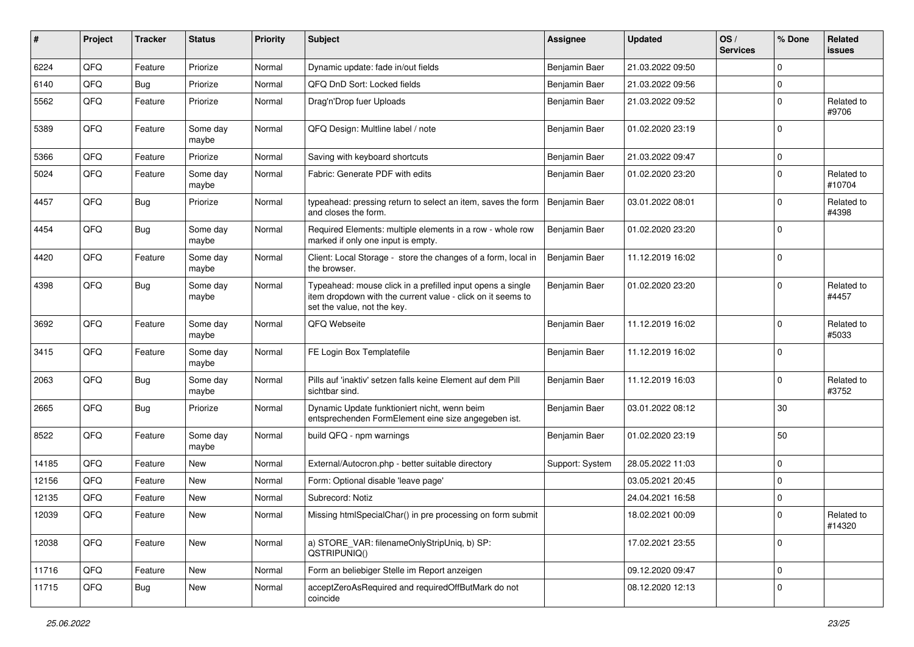| ∦     | Project | <b>Tracker</b> | <b>Status</b>     | <b>Priority</b> | <b>Subject</b>                                                                                                                                           | Assignee        | <b>Updated</b>   | OS/<br><b>Services</b> | % Done      | Related<br><b>issues</b> |
|-------|---------|----------------|-------------------|-----------------|----------------------------------------------------------------------------------------------------------------------------------------------------------|-----------------|------------------|------------------------|-------------|--------------------------|
| 6224  | QFQ     | Feature        | Priorize          | Normal          | Dynamic update: fade in/out fields                                                                                                                       | Benjamin Baer   | 21.03.2022 09:50 |                        | $\Omega$    |                          |
| 6140  | QFQ     | <b>Bug</b>     | Priorize          | Normal          | QFQ DnD Sort: Locked fields                                                                                                                              | Benjamin Baer   | 21.03.2022 09:56 |                        | 0           |                          |
| 5562  | QFQ     | Feature        | Priorize          | Normal          | Drag'n'Drop fuer Uploads                                                                                                                                 | Benjamin Baer   | 21.03.2022 09:52 |                        | $\Omega$    | Related to<br>#9706      |
| 5389  | QFQ     | Feature        | Some day<br>maybe | Normal          | QFQ Design: Multline label / note                                                                                                                        | Benjamin Baer   | 01.02.2020 23:19 |                        | $\Omega$    |                          |
| 5366  | QFQ     | Feature        | Priorize          | Normal          | Saving with keyboard shortcuts                                                                                                                           | Benjamin Baer   | 21.03.2022 09:47 |                        | $\pmb{0}$   |                          |
| 5024  | QFQ     | Feature        | Some day<br>maybe | Normal          | Fabric: Generate PDF with edits                                                                                                                          | Benjamin Baer   | 01.02.2020 23:20 |                        | $\Omega$    | Related to<br>#10704     |
| 4457  | QFQ     | <b>Bug</b>     | Priorize          | Normal          | typeahead: pressing return to select an item, saves the form<br>and closes the form.                                                                     | Benjamin Baer   | 03.01.2022 08:01 |                        | $\Omega$    | Related to<br>#4398      |
| 4454  | QFQ     | Bug            | Some day<br>maybe | Normal          | Required Elements: multiple elements in a row - whole row<br>marked if only one input is empty.                                                          | Benjamin Baer   | 01.02.2020 23:20 |                        | $\Omega$    |                          |
| 4420  | QFQ     | Feature        | Some day<br>maybe | Normal          | Client: Local Storage - store the changes of a form, local in<br>the browser.                                                                            | Benjamin Baer   | 11.12.2019 16:02 |                        | $\Omega$    |                          |
| 4398  | QFQ     | <b>Bug</b>     | Some day<br>maybe | Normal          | Typeahead: mouse click in a prefilled input opens a single<br>item dropdown with the current value - click on it seems to<br>set the value, not the key. | Benjamin Baer   | 01.02.2020 23:20 |                        | $\Omega$    | Related to<br>#4457      |
| 3692  | QFQ     | Feature        | Some day<br>maybe | Normal          | QFQ Webseite                                                                                                                                             | Benjamin Baer   | 11.12.2019 16:02 |                        | $\Omega$    | Related to<br>#5033      |
| 3415  | QFQ     | Feature        | Some day<br>maybe | Normal          | FE Login Box Templatefile                                                                                                                                | Benjamin Baer   | 11.12.2019 16:02 |                        | $\Omega$    |                          |
| 2063  | QFQ     | <b>Bug</b>     | Some day<br>maybe | Normal          | Pills auf 'inaktiv' setzen falls keine Element auf dem Pill<br>sichtbar sind.                                                                            | Benjamin Baer   | 11.12.2019 16:03 |                        | $\mathbf 0$ | Related to<br>#3752      |
| 2665  | QFQ     | Bug            | Priorize          | Normal          | Dynamic Update funktioniert nicht, wenn beim<br>entsprechenden FormElement eine size angegeben ist.                                                      | Benjamin Baer   | 03.01.2022 08:12 |                        | 30          |                          |
| 8522  | QFQ     | Feature        | Some day<br>maybe | Normal          | build QFQ - npm warnings                                                                                                                                 | Benjamin Baer   | 01.02.2020 23:19 |                        | 50          |                          |
| 14185 | QFQ     | Feature        | <b>New</b>        | Normal          | External/Autocron.php - better suitable directory                                                                                                        | Support: System | 28.05.2022 11:03 |                        | $\mathbf 0$ |                          |
| 12156 | QFQ     | Feature        | New               | Normal          | Form: Optional disable 'leave page'                                                                                                                      |                 | 03.05.2021 20:45 |                        | $\mathbf 0$ |                          |
| 12135 | QFQ     | Feature        | <b>New</b>        | Normal          | Subrecord: Notiz                                                                                                                                         |                 | 24.04.2021 16:58 |                        | $\mathbf 0$ |                          |
| 12039 | QFQ     | Feature        | New               | Normal          | Missing htmlSpecialChar() in pre processing on form submit                                                                                               |                 | 18.02.2021 00:09 |                        | $\mathbf 0$ | Related to<br>#14320     |
| 12038 | QFQ     | Feature        | New               | Normal          | a) STORE_VAR: filenameOnlyStripUniq, b) SP:<br>QSTRIPUNIQ()                                                                                              |                 | 17.02.2021 23:55 |                        | $\mathbf 0$ |                          |
| 11716 | QFQ     | Feature        | New               | Normal          | Form an beliebiger Stelle im Report anzeigen                                                                                                             |                 | 09.12.2020 09:47 |                        | $\mathbf 0$ |                          |
| 11715 | QFQ     | <b>Bug</b>     | New               | Normal          | acceptZeroAsRequired and requiredOffButMark do not<br>coincide                                                                                           |                 | 08.12.2020 12:13 |                        | $\Omega$    |                          |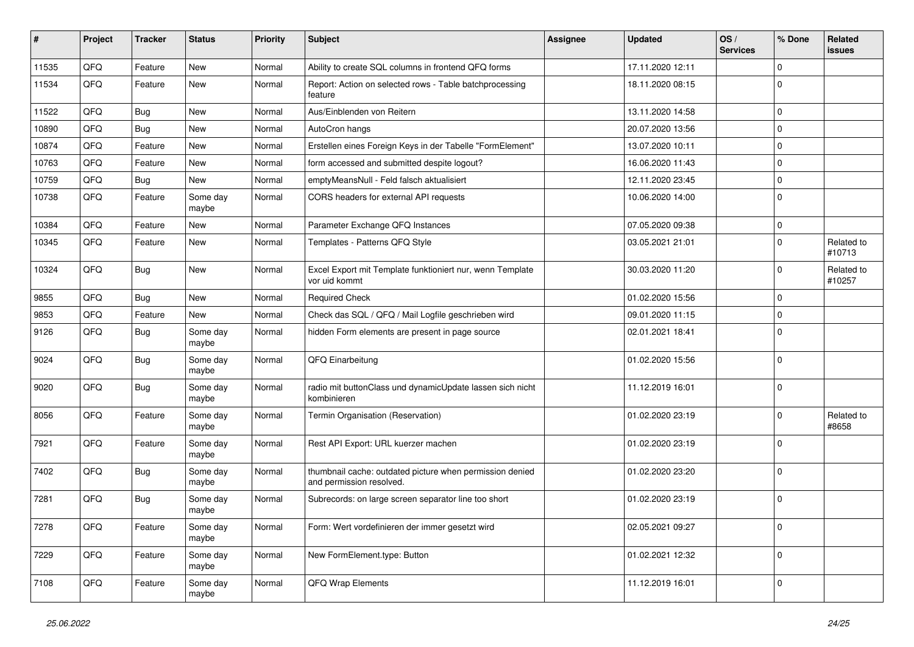| $\vert$ # | Project | <b>Tracker</b> | <b>Status</b>     | <b>Priority</b> | <b>Subject</b>                                                                       | <b>Assignee</b> | <b>Updated</b>   | OS/<br><b>Services</b> | % Done      | Related<br><b>issues</b> |
|-----------|---------|----------------|-------------------|-----------------|--------------------------------------------------------------------------------------|-----------------|------------------|------------------------|-------------|--------------------------|
| 11535     | QFQ     | Feature        | New               | Normal          | Ability to create SQL columns in frontend QFQ forms                                  |                 | 17.11.2020 12:11 |                        | $\mathbf 0$ |                          |
| 11534     | QFQ     | Feature        | New               | Normal          | Report: Action on selected rows - Table batchprocessing<br>feature                   |                 | 18.11.2020 08:15 |                        | $\mathbf 0$ |                          |
| 11522     | QFQ     | <b>Bug</b>     | <b>New</b>        | Normal          | Aus/Einblenden von Reitern                                                           |                 | 13.11.2020 14:58 |                        | $\mathbf 0$ |                          |
| 10890     | QFQ     | <b>Bug</b>     | New               | Normal          | AutoCron hangs                                                                       |                 | 20.07.2020 13:56 |                        | $\mathbf 0$ |                          |
| 10874     | QFQ     | Feature        | New               | Normal          | Erstellen eines Foreign Keys in der Tabelle "FormElement"                            |                 | 13.07.2020 10:11 |                        | $\mathbf 0$ |                          |
| 10763     | QFQ     | Feature        | New               | Normal          | form accessed and submitted despite logout?                                          |                 | 16.06.2020 11:43 |                        | $\mathbf 0$ |                          |
| 10759     | QFQ     | <b>Bug</b>     | New               | Normal          | emptyMeansNull - Feld falsch aktualisiert                                            |                 | 12.11.2020 23:45 |                        | $\mathbf 0$ |                          |
| 10738     | QFQ     | Feature        | Some day<br>maybe | Normal          | CORS headers for external API requests                                               |                 | 10.06.2020 14:00 |                        | $\mathbf 0$ |                          |
| 10384     | QFQ     | Feature        | <b>New</b>        | Normal          | Parameter Exchange QFQ Instances                                                     |                 | 07.05.2020 09:38 |                        | $\mathbf 0$ |                          |
| 10345     | QFQ     | Feature        | New               | Normal          | Templates - Patterns QFQ Style                                                       |                 | 03.05.2021 21:01 |                        | $\mathbf 0$ | Related to<br>#10713     |
| 10324     | QFQ     | <b>Bug</b>     | New               | Normal          | Excel Export mit Template funktioniert nur, wenn Template<br>vor uid kommt           |                 | 30.03.2020 11:20 |                        | $\mathbf 0$ | Related to<br>#10257     |
| 9855      | QFQ     | <b>Bug</b>     | New               | Normal          | <b>Required Check</b>                                                                |                 | 01.02.2020 15:56 |                        | $\mathbf 0$ |                          |
| 9853      | QFQ     | Feature        | <b>New</b>        | Normal          | Check das SQL / QFQ / Mail Logfile geschrieben wird                                  |                 | 09.01.2020 11:15 |                        | $\mathbf 0$ |                          |
| 9126      | QFQ     | Bug            | Some day<br>maybe | Normal          | hidden Form elements are present in page source                                      |                 | 02.01.2021 18:41 |                        | $\mathbf 0$ |                          |
| 9024      | QFQ     | <b>Bug</b>     | Some day<br>maybe | Normal          | QFQ Einarbeitung                                                                     |                 | 01.02.2020 15:56 |                        | $\mathbf 0$ |                          |
| 9020      | QFQ     | Bug            | Some day<br>maybe | Normal          | radio mit buttonClass und dynamicUpdate lassen sich nicht<br>kombinieren             |                 | 11.12.2019 16:01 |                        | $\mathbf 0$ |                          |
| 8056      | QFQ     | Feature        | Some day<br>maybe | Normal          | Termin Organisation (Reservation)                                                    |                 | 01.02.2020 23:19 |                        | $\Omega$    | Related to<br>#8658      |
| 7921      | QFQ     | Feature        | Some day<br>maybe | Normal          | Rest API Export: URL kuerzer machen                                                  |                 | 01.02.2020 23:19 |                        | $\mathbf 0$ |                          |
| 7402      | QFQ     | <b>Bug</b>     | Some day<br>maybe | Normal          | thumbnail cache: outdated picture when permission denied<br>and permission resolved. |                 | 01.02.2020 23:20 |                        | $\mathbf 0$ |                          |
| 7281      | QFQ     | <b>Bug</b>     | Some day<br>maybe | Normal          | Subrecords: on large screen separator line too short                                 |                 | 01.02.2020 23:19 |                        | $\mathbf 0$ |                          |
| 7278      | QFQ     | Feature        | Some day<br>maybe | Normal          | Form: Wert vordefinieren der immer gesetzt wird                                      |                 | 02.05.2021 09:27 |                        | $\mathbf 0$ |                          |
| 7229      | QFQ     | Feature        | Some day<br>maybe | Normal          | New FormElement.type: Button                                                         |                 | 01.02.2021 12:32 |                        | $\mathbf 0$ |                          |
| 7108      | QFG     | Feature        | Some day<br>maybe | Normal          | QFQ Wrap Elements                                                                    |                 | 11.12.2019 16:01 |                        | $\mathbf 0$ |                          |